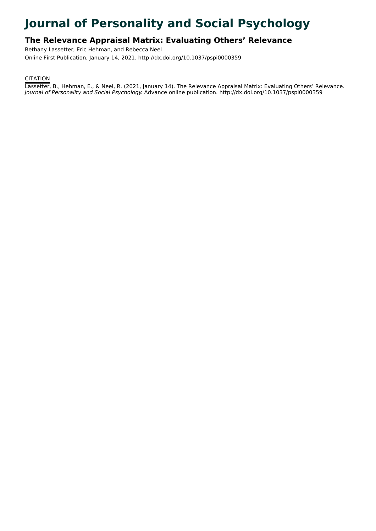# **Journal of Personality and Social Psychology**

# **The Relevance Appraisal Matrix: Evaluating Others' Relevance**

Bethany Lassetter, Eric Hehman, and Rebecca Neel Online First Publication, January 14, 2021. http://dx.doi.org/10.1037/pspi0000359

# **CITATION**

Lassetter, B., Hehman, E., & Neel, R. (2021, January 14). The Relevance Appraisal Matrix: Evaluating Others' Relevance. Journal of Personality and Social Psychology. Advance online publication. http://dx.doi.org/10.1037/pspi0000359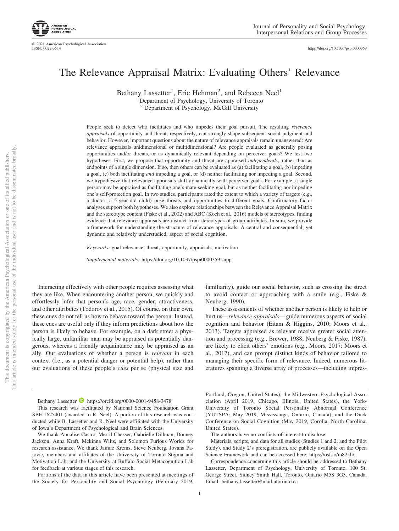

© 2021 American Psychological Association ISSN: 0022-3514

https://doi.org[/10.1037/pspi0000359](https://doi.org/10.1037/pspi0000359)

# The Relevance Appraisal Matrix: Evaluating Others' Relevance

Bethany Lassetter<sup>1</sup>, Eric Hehman<sup>2</sup>, and Rebecca Neel<sup>1</sup> <sup>1</sup> Department of Psychology, University of Toronto

<sup>2</sup> Department of Psychology, McGill University

People seek to detect who facilitates and who impedes their goal pursuit. The resulting *relevance appraisals* of opportunity and threat, respectively, can strongly shape subsequent social judgment and behavior. However, important questions about the nature of relevance appraisals remain unanswered: Are relevance appraisals unidimensional or multidimensional? Are people evaluated as generally posing opportunities and/or threats, or as dynamically relevant depending on perceiver goals? We test two hypotheses. First, we propose that opportunity and threat are appraised *independently,* rather than as endpoints of a single dimension. If so, then others can be evaluated as (a) facilitating a goal, (b) impeding a goal, (c) both facilitating *and* impeding a goal, or (d) neither facilitating nor impeding a goal. Second, we hypothesize that relevance appraisals shift dynamically with perceiver goals. For example, a single person may be appraised as facilitating one's mate-seeking goal, but as neither facilitating nor impeding one's self-protection goal. In two studies, participants rated the extent to which a variety of targets (e.g., a doctor, a 5-year-old child) pose threats and opportunities to different goals. Confirmatory factor analyses support both hypotheses. We also explore relationships between the Relevance Appraisal Matrix and the stereotype content (Fiske et al., 2002) and ABC (Koch et al., 2016) models of stereotypes, finding evidence that relevance appraisals are distinct from stereotypes of group attributes. In sum, we provide a framework for understanding the structure of relevance appraisals: A central and consequential, yet dynamic and relatively understudied, aspect of social cognition.

*Keywords:* goal relevance, threat, opportunity, appraisals, motivation

*Supplemental materials:* https://doi.org/10.1037/pspi0000359.supp

Interacting effectively with other people requires assessing what they are like. When encountering another person, we quickly and effortlessly infer that person's age, race, gender, attractiveness, and other attributes (Todorov et al., 2015). Of course, on their own, these cues do not tell us how to behave toward the person. Instead, these cues are useful only if they inform predictions about how the person is likely to behave. For example, on a dark street a physically large, unfamiliar man may be appraised as potentially dangerous, whereas a friendly acquaintance may be appraised as an ally. Our evaluations of whether a person is *relevant* in each context (i.e., as a potential danger or potential help), rather than our evaluations of these people's *cues* per se (physical size and

familiarity), guide our social behavior, such as crossing the street to avoid contact or approaching with a smile (e.g., Fiske & Neuberg, 1990).

These assessments of whether another person is likely to help or hurt us—*relevance appraisals*— guide numerous aspects of social cognition and behavior (Eitam & Higgins, 2010; Moors et al., 2013). Targets appraised as relevant receive greater social attention and processing (e.g., [Brewer, 1988;](#page-21-0) Neuberg & Fiske, 1987), are likely to elicit others' emotions (e.g., Moors, 2017; Moors et al., 2017), and can prompt distinct kinds of behavior tailored to managing their specific form of relevance. Indeed, numerous literatures spanning a diverse array of processes—including impres-

Bethany Lassetter **D** https://orcid.org/0000-0001-9458-3478

This research was facilitated by National Science Foundation Grant SBE-1625401 (awarded to R. Neel). A portion of this research was conducted while B. Lassetter and R. Neel were affiliated with the University of Iowa's Department of Psychological and Brain Sciences.

We thank Annalise Castro, Merril Chesser, Gabrielle Dillman, Donney Jackson, Anna Kraft, Mckinna Wilts, and Solomon Furious Worlds for research assistance. We thank Jaimie Krems, Steve Neuberg, Jovana Pajovic, members and affiliates of the University of Toronto Stigma and Motivation Lab, and the University at Buffalo Social Metacognition Lab for feedback at various stages of this research.

Portions of the data in this article have been presented at meetings of the Society for Personality and Social Psychology (February 2019,

Portland, Oregon, United States), the Midwestern Psychological Association (April 2019, Chicago, Illinois, United States), the York-University of Toronto Social Personality Abnormal Conference (YUTSPA; May 2019, Mississauga, Ontario, Canada), and the Duck Conference on Social Cognition (May 2019, Corolla, North Carolina, United States).

The authors have no conflicts of interest to disclose.

Materials, scripts, and data for all studies (Studies 1 and 2, and the Pilot Study), and Study 2's preregistration, are publicly available on the Open Science Framework and can be accessed here: [https://osf.io/m82kh/.](https://osf.io/m82kh/)

Correspondence concerning this article should be addressed to Bethany Lassetter, Department of Psychology, University of Toronto, 100 St. George Street, Sidney Smith Hall, Toronto, Ontario M5S 3G3, Canada. Email: [bethany.lassetter@mail.utoronto.ca](mailto:bethany.lassetter@mail.utoronto.ca)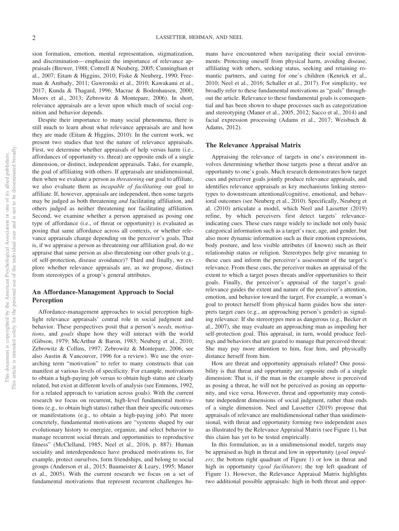sion formation, emotion, mental representation, stigmatization, and discrimination— emphasize the importance of relevance appraisals [\(Brewer, 1988;](#page-21-0) Cottrell & Neuberg, 2005; Cunningham et al., 2007; Eitam & Higgins, 2010; Fiske & Neuberg, 1990; Freeman & Ambady, 2011; Gawronski et al., 2010; Kawakami et al., 2017; Kunda & Thagard, 1996; Macrae & Bodenhausen, 2000; Moors et al., 2013; Zebrowitz & Montepare, 2006). In short, relevance appraisals are a lever upon which much of social cognition and behavior depends.

Despite their importance to many social phenomena, there is still much to learn about what relevance appraisals are and how they are made (Eitam & Higgins, 2010). In the current work, we present two studies that test the nature of relevance appraisals. First, we determine whether appraisals of help versus harm (i.e., affordances of opportunity vs. threat) are opposite ends of a single dimension, or distinct, independent appraisals. Take, for example, the goal of affiliating with others. If appraisals are unidimensional, then when we evaluate a person as *threatening* our goal to affiliate, we also evaluate them as *incapable of facilitating* our goal to affiliate. If, however, appraisals are independent, then some targets may be judged as both threatening *and* facilitating affiliation, and others judged as neither threatening nor facilitating affiliation. Second, we examine whether a person appraised as posing one type of affordance (i.e., of threat or opportunity) is evaluated as posing that same affordance across all contexts, or whether relevance appraisals change depending on the perceiver's goals. That is, if we appraise a person as threatening our affiliation goal, do we appraise that same person as also threatening our other goals (e.g., of self-protection, disease avoidance)? Third and finally, we explore whether relevance appraisals are, as we propose, distinct from stereotypes of a group's general attributes.

# **An Affordance-Management Approach to Social Perception**

Affordance-management approaches to social perception highlight relevance appraisals' central role in social judgment and behavior. These perspectives posit that a person's *needs, motivations*, and *goals* shape how they will interact with the world (Gibson, 1979; McArthur & Baron, 1983; Neuberg et al., 2010; Zebrowitz & Collins, 1997; Zebrowitz & Montepare, 2006; see also Austin & Vancouver, 1996 for a review). We use the overarching term "motivation" to refer to many constructs that can manifest at various levels of specificity. For example, motivations to obtain a high-paying job versus to obtain high status are clearly related, but exist at different levels of analysis (see Emmons, 1992, for a related approach to variation across goals). With the current research we focus on recurrent, high-level fundamental motivations (e.g., to obtain high status) rather than their specific outcomes or manifestations (e.g., to obtain a high-paying job). Put more concretely, fundamental motivations are "systems shaped by our evolutionary history to energize, organize, and select behavior to manage recurrent social threats and opportunities to reproductive fitness" (McClelland, 1985; Neel et al., 2016, p. 887). Human sociality and interdependence have produced motivations to, for example, protect ourselves, form friendships, and belong to social groups (Anderson et al., 2015; Baumeister & Leary, 1995; Maner et al., 2005). With the current research we focus on a set of fundamental motivations that represent recurrent challenges humans have encountered when navigating their social environments: Protecting oneself from physical harm, avoiding disease, affiliating with others, seeking status, seeking and retaining romantic partners, and caring for one's children (Kenrick et al., 2010; Neel et al., 2016; Schaller et al., 2017). For simplicity, we broadly refer to these fundamental motivations as "goals" throughout the article. Relevance to these fundamental goals is consequential and has been shown to shape processes such as categorization and stereotyping (Maner et al., 2005, 2012; Sacco et al., 2014) and facial expression processing (Adams et al., 2017; Weisbuch & Adams, 2012).

# **The Relevance Appraisal Matrix**

Appraising the relevance of targets in one's environment involves determining whether those targets pose a threat and/or an opportunity to one's goals. Much research demonstrates how target cues and perceiver goals jointly produce relevance appraisals, and identifies relevance appraisals as key mechanisms linking stereotypes to downstream attentional/cognitive, emotional, and behavioral outcomes (see Neuberg et al., 2010). Specifically, Neuberg et al. (2010) articulate a model, which [Neel and Lassetter \(2019\)](#page-23-0) refine, by which perceivers first detect targets' relevanceindicating cues. These cues range widely to include not only basic categorical information such as a target's race, age, and gender, but also more dynamic information such as their emotion expressions, body posture, and less visible attributes (if known) such as their relationship status or religion. Stereotypes help give meaning to these cues and inform the perceiver's assessment of the target's relevance. From these cues, the perceiver makes an appraisal of the extent to which a target poses threats and/or opportunities to their goals. Finally, the perceiver's appraisal of the target's goalrelevance guides the extent and nature of the perceiver's attention, emotion, and behavior toward the target. For example, a woman's goal to protect herself from physical harm guides how she interprets target cues (e.g., an approaching person's gender) as signaling relevance: If she stereotypes men as dangerous (e.g., Becker et al., 2007), she may evaluate an approaching man as impeding her self-protection goal. This appraisal, in turn, would produce feelings and behaviors that are geared to manage that perceived threat: She may pay more attention to him, fear him, and physically distance herself from him.

How are threat and opportunity appraisals related? One possibility is that threat and opportunity are opposite ends of a single dimension: That is, if the man in the example above is perceived as posing a threat, he will not be perceived as posing an opportunity, and vice versa. However, threat and opportunity may constitute independent dimensions of social judgment, rather than ends of a single dimension. [Neel and Lassetter \(2019\)](#page-23-0) propose that appraisals of relevance are multidimensional rather than unidimensional, with threat and opportunity forming two independent axes as illustrated by the Relevance Appraisal Matrix (see Figure 1), but this claim has yet to be tested empirically.

In this formulation, as in a unidimensional model, targets may be appraised as high in threat and low in opportunity (*goal impeders*; the bottom right quadrant of Figure 1) or low in threat and high in opportunity (*goal facilitators*; the top left quadrant of Figure 1). However, the Relevance Appraisal Matrix highlights two additional possible appraisals: high in both threat and oppor-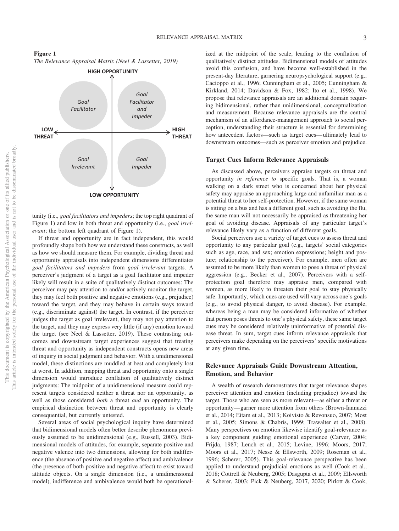**Figure 1** *The Relevance Appraisal Matrix [\(Neel & Lassetter, 2019\)](#page-23-0)*



tunity (i.e., *goal facilitators and impeders*; the top right quadrant of Figure 1) and low in both threat and opportunity (i.e., *goal irrelevant*; the bottom left quadrant of Figure 1).

If threat and opportunity are in fact independent, this would profoundly shape both how we understand these constructs, as well as how we should measure them. For example, dividing threat and opportunity appraisals into independent dimensions differentiates *goal facilitators and impeders* from *goal irrelevant* targets. A perceiver's judgment of a target as a goal facilitator and impeder likely will result in a suite of qualitatively distinct outcomes: The perceiver may pay attention to and/or actively monitor the target, they may feel both positive and negative emotions (e.g., prejudice) toward the target, and they may behave in certain ways toward (e.g., discriminate against) the target. In contrast, if the perceiver judges the target as goal irrelevant, they may not pay attention to the target, and they may express very little (if any) emotion toward the target (see [Neel & Lassetter, 2019\)](#page-23-0). These contrasting outcomes and downstream target experiences suggest that treating threat and opportunity as independent constructs opens new areas of inquiry in social judgment and behavior. With a unidimensional model, these distinctions are muddled at best and completely lost at worst. In addition, mapping threat and opportunity onto a single dimension would introduce conflation of qualitatively distinct judgments: The midpoint of a unidimensional measure could represent targets considered neither a threat nor an opportunity, as well as those considered *both* a threat *and* an opportunity. The empirical distinction between threat and opportunity is clearly consequential, but currently untested.

Several areas of social psychological inquiry have determined that bidimensional models often better describe phenomena previously assumed to be unidimensional (e.g., Russell, 2003). Bidimensional models of attitudes, for example, separate positive and negative valence into two dimensions, allowing for both indifference (the absence of positive and negative affect) and ambivalence (the presence of both positive and negative affect) to exist toward attitude objects. On a single dimension (i.e., a unidimensional model), indifference and ambivalence would both be operationalized at the midpoint of the scale, leading to the conflation of qualitatively distinct attitudes. Bidimensional models of attitudes avoid this confusion, and have become well-established in the present-day literature, garnering neuropsychological support (e.g., Cacioppo et al., 1996; Cunningham et al., 2005; Cunningham & Kirkland, 2014; Davidson & Fox, 1982; Ito et al., 1998). We propose that relevance appraisals are an additional domain requiring bidimensional, rather than unidimensional, conceptualization and measurement. Because relevance appraisals are the central mechanism of an affordance-management approach to social perception, understanding their structure is essential for determining how antecedent factors—such as target cues— ultimately lead to downstream outcomes—such as perceiver emotion and prejudice.

#### **Target Cues Inform Relevance Appraisals**

As discussed above, perceivers appraise targets on threat and opportunity *in reference to* specific goals. That is, a woman walking on a dark street who is concerned about her physical safety may appraise an approaching large and unfamiliar man as a potential threat to her self-protection. However, if the same woman is sitting on a bus and has a different goal, such as avoiding the flu, the same man will not necessarily be appraised as threatening her goal of avoiding disease. Appraisals of any particular target's relevance likely vary as a function of different goals.

Social perceivers use a variety of target cues to assess threat and opportunity to any particular goal (e.g., targets' social categories such as age, race, and sex; emotion expressions; height and posture; relationship to the perceiver). For example, men often are assumed to be more likely than women to pose a threat of physical aggression (e.g., Becker et al., 2007). Perceivers with a selfprotection goal therefore may appraise men, compared with women, as more likely to threaten their goal to stay physically safe. Importantly, which cues are used will vary across one's goals (e.g., to avoid physical danger, to avoid disease). For example, whereas being a man may be considered informative of whether that person poses threats to one's physical safety, these same target cues may be considered relatively uninformative of potential disease threat. In sum, target cues inform relevance appraisals that perceivers make depending on the perceivers' specific motivations at any given time.

# **Relevance Appraisals Guide Downstream Attention, Emotion, and Behavior**

A wealth of research demonstrates that target relevance shapes perceiver attention and emotion (including prejudice) toward the target. Those who are seen as more relevant—as either a threat or opportunity— garner more attention from others (Brown-Iannuzzi et al., 2014; Eitam et al., 2013; Koivisto & Revonsuo, 2007; Most et al., 2005; Simons & Chabris, 1999; Trawalter et al., 2008). Many perspectives on emotion likewise identify goal-relevance as a key component guiding emotional experience (Carver, 2004; Frijda, 1987; Lench et al., 2015; Levine, 1996; Moors, 2017; Moors et al., 2017; [Nesse & Ellsworth, 2009;](#page-23-1) Roseman et al., 1996; Scherer, 2005). This goal-relevance perspective has been applied to understand prejudicial emotions as well (Cook et al., 2018; Cottrell & Neuberg, 2005; Dasgupta et al., 2009; Ellsworth & Scherer, 2003; Pick & Neuberg, 2017, 2020; Pirlott & Cook,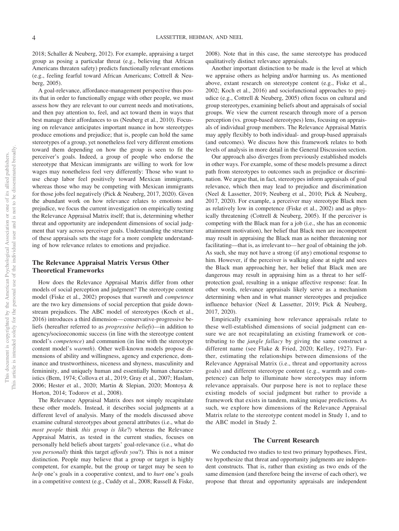2018; Schaller & Neuberg, 2012). For example, appraising a target group as posing a particular threat (e.g., believing that African Americans threaten safety) predicts functionally relevant emotions (e.g., feeling fearful toward African Americans; Cottrell & Neuberg, 2005).

A goal-relevance, affordance-management perspective thus posits that in order to functionally engage with other people, we must assess how they are relevant to our current needs and motivations, and then pay attention to, feel, and act toward them in ways that best manage their affordances to us (Neuberg et al., 2010). Focusing on relevance anticipates important nuance in how stereotypes produce emotions and prejudice; that is, people can hold the same stereotypes of a group, yet nonetheless feel very different emotions toward them depending on how the group is seen to fit the perceiver's goals. Indeed, a group of people who endorse the stereotype that Mexican immigrants are willing to work for low wages may nonetheless feel very differently: Those who want to use cheap labor feel positively toward Mexican immigrants, whereas those who may be competing with Mexican immigrants for those jobs feel negatively (Pick & Neuberg, 2017, 2020). Given the abundant work on how relevance relates to emotions and prejudice, we focus the current investigation on empirically testing the Relevance Appraisal Matrix itself; that is, determining whether threat and opportunity are independent dimensions of social judgment that vary across perceiver goals. Understanding the structure of these appraisals sets the stage for a more complete understanding of how relevance relates to emotions and prejudice.

# **The Relevance Appraisal Matrix Versus Other Theoretical Frameworks**

How does the Relevance Appraisal Matrix differ from other models of social perception and judgment? The stereotype content model (Fiske et al., 2002) proposes that *warmth* and *competence* are the two key dimensions of social perception that guide downstream prejudices. The ABC model of stereotypes (Koch et al., 2016) introduces a third dimension— conservative-progressive beliefs (hereafter referred to as *progressive beliefs*)—in addition to agency/socioeconomic success (in line with the stereotype content model's *competence*) and communion (in line with the stereotype content model's *warmth*). Other well-known models propose dimensions of ability and willingness, agency and experience, dominance and trustworthiness, niceness and shyness, masculinity and femininity, and uniquely human and essentially human characteristics (Bem, 1974; Collova et al., 2019; Gray et al., 2007; Haslam, 2006; Hester et al., 2020; Martin & Slepian, 2020; Montoya & Horton, 2014; Todorov et al., 2008).

The Relevance Appraisal Matrix does not simply recapitulate these other models. Instead, it describes social judgments at a different level of analysis. Many of the models discussed above examine cultural stereotypes about general attributes (i.e., what do *most people* think *this group is like*?) whereas the Relevance Appraisal Matrix, as tested in the current studies, focuses on personally held beliefs about targets' goal-relevance (i.e., what do *you personally* think this target *affords you*?). This is not a minor distinction. People may believe that a group or target is highly competent, for example, but the group or target may be seen to *help* one's goals in a cooperative context, and to *hurt* one's goals in a competitive context (e.g., Cuddy et al., 2008; Russell & Fiske,

2008). Note that in this case, the same stereotype has produced qualitatively distinct relevance appraisals.

Another important distinction to be made is the level at which we appraise others as helping and/or harming us. As mentioned above, extant research on stereotype content (e.g., Fiske et al., 2002; Koch et al., 2016) and sociofunctional approaches to prejudice (e.g., Cottrell & Neuberg, 2005) often focus on cultural and group stereotypes, examining beliefs about and appraisals of social groups. We view the current research through more of a person perception (vs. group-based stereotypes) lens, focusing on appraisals of individual group members. The Relevance Appraisal Matrix may apply flexibly to both individual- and group-based appraisals (and outcomes). We discuss how this framework relates to both levels of analysis in more detail in the General Discussion section.

Our approach also diverges from previously established models in other ways. For example, some of these models presume a direct path from stereotypes to outcomes such as prejudice or discrimination. We argue that, in fact, stereotypes inform appraisals of goal relevance, which then may lead to prejudice and discrimination [\(Neel & Lassetter, 2019;](#page-23-0) Neuberg et al., 2010; Pick & Neuberg, 2017, 2020). For example, a perceiver may stereotype Black men as relatively low in competence (Fiske et al., 2002) and as physically threatening (Cottrell & Neuberg, 2005). If the perceiver is competing with the Black man for a job (i.e., she has an economic attainment motivation), her belief that Black men are incompetent may result in appraising the Black man as neither threatening nor facilitating—that is, as irrelevant to— her goal of obtaining the job. As such, she may not have a strong (if any) emotional response to him. However, if the perceiver is walking alone at night and sees the Black man approaching her, her belief that Black men are dangerous may result in appraising him as a threat to her selfprotection goal, resulting in a unique affective response: fear. In other words, relevance appraisals likely serve as a mechanism determining when and in what manner stereotypes and prejudice influence behavior [\(Neel & Lassetter, 2019;](#page-23-0) Pick & Neuberg, 2017, 2020).

Empirically examining how relevance appraisals relate to these well-established dimensions of social judgment can ensure we are not recapitulating an existing framework or contributing to the *jangle fallacy* by giving the same construct a different name (see Flake & Fried, 2020; Kelley, 1927). Further, estimating the relationships between dimensions of the Relevance Appraisal Matrix (i.e., threat and opportunity across goals) and different stereotype content (e.g., warmth and competence) can help to illuminate how stereotypes may inform relevance appraisals. Our purpose here is not to replace these existing models of social judgment but rather to provide a framework that exists in tandem, making unique predictions. As such, we explore how dimensions of the Relevance Appraisal Matrix relate to the stereotype content model in Study 1, and to the ABC model in Study 2.

#### **The Current Research**

We conducted two studies to test two primary hypotheses. First, we hypothesize that threat and opportunity judgments are independent constructs. That is, rather than existing as two ends of the same dimension (and therefore being the inverse of each other), we propose that threat and opportunity appraisals are independent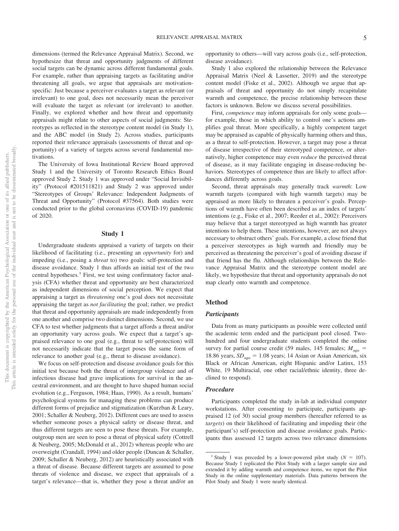dimensions (termed the Relevance Appraisal Matrix). Second, we hypothesize that threat and opportunity judgments of different social targets can be dynamic across different fundamental goals. For example, rather than appraising targets as facilitating and/or threatening all goals, we argue that appraisals are motivationspecific: Just because a perceiver evaluates a target as relevant (or irrelevant) to one goal, does not necessarily mean the perceiver will evaluate the target as relevant (or irrelevant) to another. Finally, we explored whether and how threat and opportunity appraisals might relate to other aspects of social judgments: Stereotypes as reflected in the stereotype content model (in Study 1), and the ABC model (in Study 2). Across studies, participants reported their relevance appraisals (assessments of threat and opportunity) of a variety of targets across several fundamental motivations.

The University of Iowa Institutional Review Board approved Study 1 and the University of Toronto Research Ethics Board approved Study 2. Study 1 was approved under "Social Invisibility" (Protocol #201511821) and Study 2 was approved under "Stereotypes of Groups' Relevance: Independent Judgments of Threat and Opportunity" (Protocol #37564). Both studies were conducted prior to the global coronavirus (COVID-19) pandemic of 2020.

#### **Study 1**

Undergraduate students appraised a variety of targets on their likelihood of facilitating (i.e., presenting an *opportunity* for) and impeding (i.e., posing a *threat* to) two goals: self-protection and disease avoidance. Study 1 thus affords an initial test of the two central hypotheses.<sup>1</sup> First, we test using confirmatory factor analysis (CFA) whether threat and opportunity are best characterized as independent dimensions of social perception. We expect that appraising a target as *threatening* one's goal does not necessitate appraising the target as *not facilitating* the goal; rather, we predict that threat and opportunity appraisals are made independently from one another and comprise two distinct dimensions. Second, we use CFA to test whether judgments that a target affords a threat and/or an opportunity vary across goals. We expect that a target's appraised relevance to one goal (e.g., threat to self-protection) will not necessarily indicate that the target poses the same form of relevance to another goal (e.g., threat to disease avoidance).

We focus on self-protection and disease avoidance goals for this initial test because both the threat of intergroup violence and of infectious disease had grave implications for survival in the ancestral environment, and are thought to have shaped human social evolution (e.g., Ferguson, 1984; Haas, 1990). As a result, humans' psychological systems for managing these problems can produce different forms of prejudice and stigmatization (Kurzban & Leary, 2001; Schaller & Neuberg, 2012). Different cues are used to assess whether someone poses a physical safety or disease threat, and thus different targets are seen to pose these threats. For example, outgroup men are seen to pose a threat of physical safety (Cottrell & Neuberg, 2005; McDonald et al., 2012) whereas people who are overweight (Crandall, 1994) and older people (Duncan & Schaller, 2009; Schaller & Neuberg, 2012) are heuristically associated with a threat of disease. Because different targets are assumed to pose threats of violence and disease, we expect that appraisals of a target's relevance—that is, whether they pose a threat and/or an opportunity to others—will vary across goals (i.e., self-protection, disease avoidance).

Study 1 also explored the relationship between the Relevance Appraisal Matrix [\(Neel & Lassetter, 2019\)](#page-23-0) and the stereotype content model (Fiske et al., 2002). Although we argue that appraisals of threat and opportunity do not simply recapitulate warmth and competence, the precise relationship between these factors is unknown. Below we discuss several possibilities.

First, *competence* may inform appraisals for only some goals for example, those in which ability to control one's actions amplifies goal threat. More specifically, a highly competent target may be appraised as capable of physically harming others and thus, as a threat to self-protection. However, a target may pose a threat of disease irrespective of their stereotyped competence, or alternatively, higher competence may even *reduce* the perceived threat of disease, as it may facilitate engaging in disease-reducing behaviors. Stereotypes of competence thus are likely to affect affordances differently across goals.

Second, threat appraisals may generally track *warmth*: Low warmth targets (compared with high warmth targets) may be appraised as more likely to threaten a perceiver's goals. Perceptions of warmth have often been described as an index of targets' intentions (e.g., Fiske et al., 2007; Reeder et al., 2002): Perceivers may believe that a target stereotyped as high warmth has greater intentions to help them. These intentions, however, are not always necessary to obstruct others' goals. For example, a close friend that a perceiver stereotypes as high warmth and friendly may be perceived as threatening the perceiver's goal of avoiding disease if that friend has the flu. Although relationships between the Relevance Appraisal Matrix and the stereotype content model are likely, we hypothesize that threat and opportunity appraisals do not map clearly onto warmth and competence.

# **Method**

#### *Participants*

Data from as many participants as possible were collected until the academic term ended and the participant pool closed. Twohundred and four undergraduate students completed the online survey for partial course credit (59 males,  $145$  females;  $M_{\text{age}} =$ 18.86 years,  $SD<sub>age</sub> = 1.08$  years; 14 Asian or Asian American, six Black or African American, eight Hispanic and/or Latinx, 153 White, 19 Multiracial, one other racial/ethnic identity, three declined to respond).

#### *Procedure*

Participants completed the study in-lab at individual computer workstations. After consenting to participate, participants appraised 12 (of 30) social group members (hereafter referred to as *targets*) on their likelihood of facilitating and impeding their (the participant's) self-protection and disease avoidance goals. Participants thus assessed 12 targets across two relevance dimensions

<sup>&</sup>lt;sup>1</sup> Study 1 was preceded by a lower-powered pilot study ( $N = 107$ ). Because Study 1 replicated the Pilot Study with a larger sample size and extended it by adding warmth and competence items, we report the Pilot Study in the [online supplementary materials.](https://doi.org/10.1037/pspi0000359.supp) Data patterns between the Pilot Study and Study 1 were nearly identical.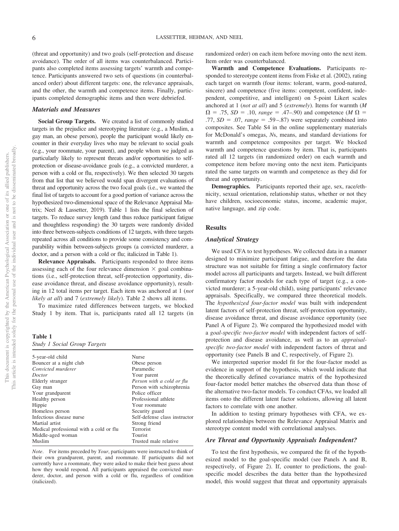(threat and opportunity) and two goals (self-protection and disease avoidance). The order of all items was counterbalanced. Participants also completed items assessing targets' warmth and competence. Participants answered two sets of questions (in counterbalanced order) about different targets: one, the relevance appraisals, and the other, the warmth and competence items. Finally, participants completed demographic items and then were debriefed.

#### *Materials and Measures*

**Social Group Targets.** We created a list of commonly studied targets in the prejudice and stereotyping literature (e.g., a Muslim, a gay man, an obese person), people the participant would likely encounter in their everyday lives who may be relevant to social goals (e.g., your roommate, your parent), and people whom we judged as particularly likely to represent threats and/or opportunities to selfprotection or disease-avoidance goals (e.g., a convicted murderer, a person with a cold or flu, respectively). We then selected 30 targets from that list that we believed would span divergent evaluations of threat and opportunity across the two focal goals (i.e., we wanted the final list of targets to account for a good portion of variance across the hypothesized two-dimensional space of the Relevance Appraisal Matrix; [Neel & Lassetter, 2019\)](#page-23-0). Table 1 lists the final selection of targets. To reduce survey length (and thus reduce participant fatigue and thoughtless responding) the 30 targets were randomly divided into three between-subjects conditions of 12 targets, with three targets repeated across all conditions to provide some consistency and comparability within between-subjects groups (a convicted murderer, a doctor, and a person with a cold or flu; italicized in Table 1).

**Relevance Appraisals.** Participants responded to three items assessing each of the four relevance dimension  $\times$  goal combinations (i.e., self-protection threat, self-protection opportunity, disease avoidance threat, and disease avoidance opportunity), resulting in 12 total items per target. Each item was anchored at 1 (*not likely at all*) and 7 (*extremely likely*). Table 2 shows all items.

To maximize rated differences between targets, we blocked Study 1 by item. That is, participants rated all 12 targets (in

**Table 1**

|  |  |  |  |  | <b>Study 1 Social Group Targets</b> |
|--|--|--|--|--|-------------------------------------|
|--|--|--|--|--|-------------------------------------|

| 5-year-old child                        | <b>Nurse</b>                  |
|-----------------------------------------|-------------------------------|
| Bouncer at a night club                 | Obese person                  |
| Convicted murderer                      | Paramedic                     |
| Doctor                                  | Your parent                   |
| Elderly stranger                        | Person with a cold or flu     |
| Gay man                                 | Person with schizophrenia     |
| Your grandparent                        | Police officer                |
| Healthy person                          | Professional athlete          |
| Hippie                                  | Your roommate                 |
| Homeless person                         | Security guard                |
| Infectious disease nurse                | Self-defense class instructor |
| Martial artist                          | Strong friend                 |
| Medical professional with a cold or flu | Terrorist                     |
| Middle-aged woman                       | Tourist                       |
| Muslim                                  | Trusted male relative         |
|                                         |                               |

*Note*. For items preceded by *Your*, participants were instructed to think of their own grandparent, parent, and roommate. If participants did not currently have a roommate, they were asked to make their best guess about how they would respond. All participants appraised the convicted murderer, doctor, and person with a cold or flu, regardless of condition (italicized).

randomized order) on each item before moving onto the next item. Item order was counterbalanced.

**Warmth and Competence Evaluations.** Participants responded to stereotype content items from Fiske et al. (2002), rating each target on warmth (four items: tolerant, warm, good-natured, sincere) and competence (five items: competent, confident, independent, competitive, and intelligent) on 5-point Likert scales anchored at 1 (*not at all*) and 5 (*extremely*). Items for warmth (*M*  $\Omega = .75$ ,  $SD = .10$ ,  $range = .47–.90$ ) and competence (*M*  $\Omega =$ .77,  $SD = .07$ ,  $range = .59 - .87$ ) were separately combined into composites. See [Table S4](https://doi.org/10.1037/pspi0000359.supp) in the online supplementary materials for McDonald's omegas, *N*s, means, and standard deviations for warmth and competence composites per target. We blocked warmth and competence questions by item. That is, participants rated all 12 targets (in randomized order) on each warmth and competence item before moving onto the next item. Participants rated the same targets on warmth and competence as they did for threat and opportunity.

**Demographics.** Participants reported their age, sex, race/ethnicity, sexual orientation, relationship status, whether or not they have children, socioeconomic status, income, academic major, native language, and zip code.

# **Results**

#### *Analytical Strategy*

We used CFA to test hypotheses. We collected data in a manner designed to minimize participant fatigue, and therefore the data structure was not suitable for fitting a single confirmatory factor model across all participants and targets. Instead, we built different confirmatory factor models for each type of target (e.g., a convicted murderer; a 5-year-old child), using participants' relevance appraisals. Specifically, we compared three theoretical models. The *hypothesized four-factor model* was built with independent latent factors of self-protection threat, self-protection opportunity, disease avoidance threat, and disease avoidance opportunity (see Panel A of Figure 2). We compared the hypothesized model with a *goal-specific two-factor model* with independent factors of selfprotection and disease avoidance, as well as to an *appraisalspecific two-factor model* with independent factors of threat and opportunity (see Panels B and C, respectively, of Figure 2).

We interpreted superior model fit for the four-factor model as evidence in support of the hypothesis, which would indicate that the theoretically defined covariance matrix of the hypothesized four-factor model better matches the observed data than those of the alternative two-factor models. To conduct CFAs, we loaded all items onto the different latent factor solutions, allowing all latent factors to correlate with one another.

In addition to testing primary hypotheses with CFA, we explored relationships between the Relevance Appraisal Matrix and stereotype content model with correlational analyses.

#### *Are Threat and Opportunity Appraisals Independent?*

To test the first hypothesis, we compared the fit of the hypothesized model to the goal-specific model (see Panels A and B, respectively, of Figure 2). If, counter to predictions, the goalspecific model describes the data better than the hypothesized model, this would suggest that threat and opportunity appraisals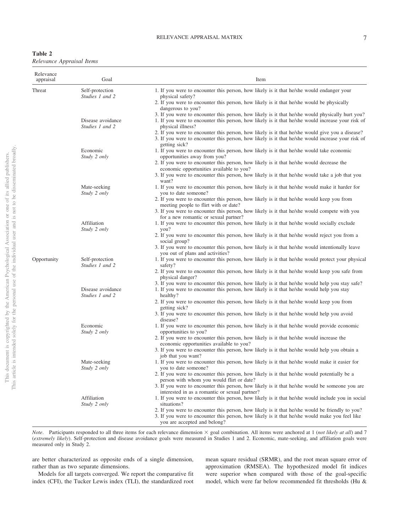| Table 2 |                           |  |
|---------|---------------------------|--|
|         | Relevance Appraisal Items |  |

| Self-protection<br>Studies 1 and 2 | 1. If you were to encounter this person, how likely is it that he/she would endanger your                                                                                                                                          |
|------------------------------------|------------------------------------------------------------------------------------------------------------------------------------------------------------------------------------------------------------------------------------|
|                                    | physical safety?                                                                                                                                                                                                                   |
|                                    | 2. If you were to encounter this person, how likely is it that he/she would be physically<br>dangerous to you?                                                                                                                     |
| Disease avoidance                  | 3. If you were to encounter this person, how likely is it that he/she would physically hurt you?<br>1. If you were to encounter this person, how likely is it that he/she would increase your risk of<br>physical illness?         |
|                                    | 2. If you were to encounter this person, how likely is it that he/she would give you a disease?<br>3. If you were to encounter this person, how likely is it that he/she would increase your risk of<br>getting sick?              |
| Economic<br>Study 2 only           | 1. If you were to encounter this person, how likely is it that he/she would take economic<br>opportunities away from you?                                                                                                          |
|                                    | 2. If you were to encounter this person, how likely is it that he/she would decrease the<br>economic opportunities available to you?                                                                                               |
|                                    | 3. If you were to encounter this person, how likely is it that he/she would take a job that you<br>want?                                                                                                                           |
| Study 2 only                       | 1. If you were to encounter this person, how likely is it that he/she would make it harder for<br>you to date someone?                                                                                                             |
|                                    | 2. If you were to encounter this person, how likely is it that he/she would keep you from<br>meeting people to flirt with or date?<br>3. If you were to encounter this person, how likely is it that he/she would compete with you |
|                                    | for a new romantic or sexual partner?                                                                                                                                                                                              |
| Study 2 only                       | 1. If you were to encounter this person, how likely is it that he/she would socially exclude<br>you?                                                                                                                               |
|                                    | 2. If you were to encounter this person, how likely is it that he/she would reject you from a<br>social group?                                                                                                                     |
|                                    | 3. If you were to encounter this person, how likely is it that he/she would intentionally leave<br>you out of plans and activities?                                                                                                |
| Self-protection<br>Studies 1 and 2 | 1. If you were to encounter this person, how likely is it that he/she would protect your physical<br>safety?                                                                                                                       |
|                                    | 2. If you were to encounter this person, how likely is it that he/she would keep you safe from<br>physical danger?                                                                                                                 |
| Disease avoidance                  | 3. If you were to encounter this person, how likely is it that he/she would help you stay safe?<br>1. If you were to encounter this person, how likely is it that he/she would help you stay<br>healthy?                           |
|                                    | 2. If you were to encounter this person, how likely is it that he/she would keep you from<br>getting sick?                                                                                                                         |
|                                    | 3. If you were to encounter this person, how likely is it that he/she would help you avoid<br>disease?                                                                                                                             |
| Study 2 only                       | 1. If you were to encounter this person, how likely is it that he/she would provide economic<br>opportunities to you?                                                                                                              |
|                                    | 2. If you were to encounter this person, how likely is it that he/she would increase the<br>economic opportunities available to you?                                                                                               |
|                                    | 3. If you were to encounter this person, how likely is it that he/she would help you obtain a<br>job that you want?                                                                                                                |
| Mate-seeking                       | 1. If you were to encounter this person, how likely is it that he/she would make it easier for<br>you to date someone?                                                                                                             |
|                                    | 2. If you were to encounter this person, how likely is it that he/she would potentially be a<br>person with whom you would flirt or date?                                                                                          |
|                                    | 3. If you were to encounter this person, how likely is it that he/she would be someone you are<br>interested in as a romantic or sexual partner?                                                                                   |
| Affiliation                        | 1. If you were to encounter this person, how likely is it that he/she would include you in social<br>situations?                                                                                                                   |
|                                    | 2. If you were to encounter this person, how likely is it that he/she would be friendly to you?<br>3. If you were to encounter this person, how likely is it that he/she would make you feel like<br>you are accepted and belong?  |
|                                    | Studies 1 and 2<br>Mate-seeking<br>Affiliation<br>Studies 1 and 2<br>Economic<br>Study 2 only<br>Study 2 only                                                                                                                      |

*Note*. Participants responded to all three items for each relevance dimension  $\times$  goal combination. All items were anchored at 1 (*not likely at all*) and 7 (*extremely likely*). Self-protection and disease avoidance goals were measured in Studies 1 and 2. Economic, mate-seeking, and affiliation goals were measured only in Study 2.

are better characterized as opposite ends of a single dimension, rather than as two separate dimensions.

Models for all targets converged. We report the comparative fit index (CFI), the Tucker Lewis index (TLI), the standardized root mean square residual (SRMR), and the root mean square error of approximation (RMSEA). The hypothesized model fit indices were superior when compared with those of the goal-specific model, which were far below recommended fit thresholds (Hu &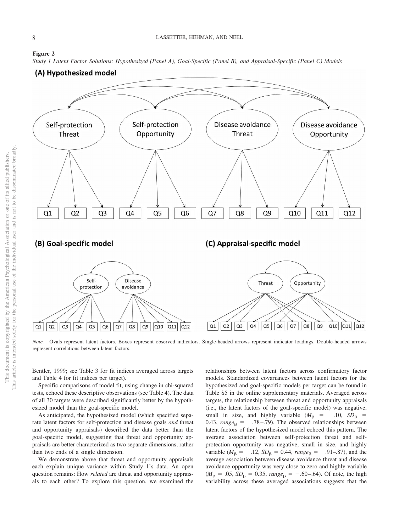# **Figure 2**

*Study 1 Latent Factor Solutions: Hypothesized (Panel A), Goal-Specific (Panel B), and Appraisal-Specific (Panel C) Models*



*Note.* Ovals represent latent factors. Boxes represent observed indicators. Single-headed arrows represent indicator loadings. Double-headed arrows represent correlations between latent factors.

Bentler, 1999; see Table 3 for fit indices averaged across targets and Table 4 for fit indices per target).

Specific comparisons of model fit, using change in chi-squared tests, echoed these descriptive observations (see Table 4). The data of all 30 targets were described significantly better by the hypothesized model than the goal-specific model.

As anticipated, the hypothesized model (which specified separate latent factors for self-protection and disease goals *and* threat and opportunity appraisals) described the data better than the goal-specific model, suggesting that threat and opportunity appraisals are better characterized as two separate dimensions, rather than two ends of a single dimension.

We demonstrate above that threat and opportunity appraisals each explain unique variance within Study 1's data. An open question remains: How *related* are threat and opportunity appraisals to each other? To explore this question, we examined the relationships between latent factors across confirmatory factor models. Standardized covariances between latent factors for the hypothesized and goal-specific models per target can be found in [Table S5](https://doi.org/10.1037/pspi0000359.supp) in the online supplementary materials. Averaged across targets, the relationship between threat and opportunity appraisals (i.e., the latent factors of the goal-specific model) was negative, small in size, and highly variable  $(M_\beta = -10, SD_\beta =$ 0.43,  $range_{\beta} = -.78 - .79$ . The observed relationships between latent factors of the hypothesized model echoed this pattern. The average association between self-protection threat and selfprotection opportunity was negative, small in size, and highly variable ( $M_{\beta} = -.12$ ,  $SD_{\beta} = 0.44$ ,  $range_{\beta} = -.91-.87$ ), and the average association between disease avoidance threat and disease avoidance opportunity was very close to zero and highly variable  $(M_\beta = .05, SD_\beta = 0.35, range_\beta = -.60-.64)$ . Of note, the high variability across these averaged associations suggests that the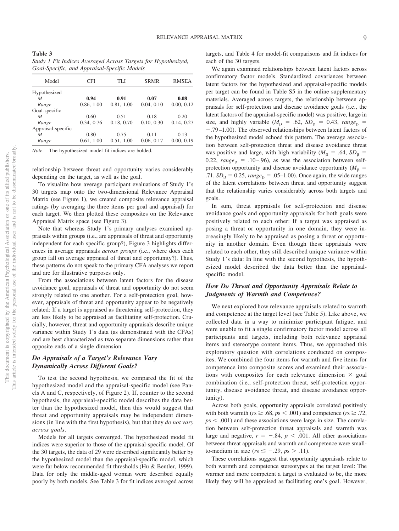**Table 3** *Study 1 Fit Indices Averaged Across Targets for Hypothesized, Goal-Specific, and Appraisal-Specific Models*

| Model              | CFI        | TLI        | <b>SRMR</b> | <b>RMSEA</b> |
|--------------------|------------|------------|-------------|--------------|
| Hypothesized       |            |            |             |              |
| M                  | 0.94       | 0.91       | 0.07        | 0.08         |
| Range              | 0.86, 1.00 | 0.81, 1.00 | 0.04, 0.10  | 0.00, 0.12   |
| Goal-specific      |            |            |             |              |
| M                  | 0.60       | 0.51       | 0.18        | 0.20         |
| Range              | 0.34, 0.76 | 0.18, 0.70 | 0.10, 0.30  | 0.14, 0.27   |
| Appraisal-specific |            |            |             |              |
| M                  | 0.80       | 0.75       | 0.11        | 0.13         |
| Range              | 0.61, 1.00 | 0.51, 1.00 | 0.06, 0.17  | 0.00, 0.19   |

*Note*. The hypothesized model fit indices are bolded.

relationship between threat and opportunity varies considerably depending on the target, as well as the goal.

To visualize how average participant evaluations of Study 1's 30 targets map onto the two-dimensional Relevance Appraisal Matrix (see Figure 1), we created composite relevance appraisal ratings (by averaging the three items per goal and appraisal) for each target. We then plotted these composites on the Relevance Appraisal Matrix space (see Figure 3).

Note that whereas Study 1's primary analyses examined appraisals within groups (i.e., are appraisals of threat and opportunity independent for each specific group?), Figure 3 highlights differences in average appraisals *across groups* (i.e., where does each group fall on average appraisal of threat and opportunity?). Thus, these patterns do not speak to the primary CFA analyses we report and are for illustrative purposes only.

From the associations between latent factors for the disease avoidance goal, appraisals of threat and opportunity do not seem strongly related to one another. For a self-protection goal, however, appraisals of threat and opportunity appear to be negatively related: If a target is appraised as threatening self-protection, they are less likely to be appraised as facilitating self-protection. Crucially, however, threat and opportunity appraisals describe unique variance within Study 1's data (as demonstrated with the CFAs) and are best characterized as two separate dimensions rather than opposite ends of a single dimension.

# *Do Appraisals of a Target's Relevance Vary Dynamically Across Different Goals?*

To test the second hypothesis, we compared the fit of the hypothesized model and the appraisal-specific model (see Panels A and C, respectively, of Figure 2). If, counter to the second hypothesis, the appraisal-specific model describes the data better than the hypothesized model, then this would suggest that threat and opportunity appraisals may be independent dimensions (in line with the first hypothesis), but that they *do not vary across goals*.

Models for all targets converged. The hypothesized model fit indices were superior to those of the appraisal-specific model. Of the 30 targets, the data of 29 were described significantly better by the hypothesized model than the appraisal-specific model, which were far below recommended fit thresholds (Hu & Bentler, 1999). Data for only the middle-aged woman were described equally poorly by both models. See Table 3 for fit indices averaged across

targets, and Table 4 for model-fit comparisons and fit indices for each of the 30 targets.

We again examined relationships between latent factors across confirmatory factor models. Standardized covariances between latent factors for the hypothesized and appraisal-specific models per target can be found in [Table S5](https://doi.org/10.1037/pspi0000359.supp) in the online supplementary materials. Averaged across targets, the relationship between appraisals for self-protection and disease avoidance goals (i.e., the latent factors of the appraisal-specific model) was positive, large in size, and highly variable ( $M_\beta$  = .62,  $SD_\beta$  = 0.43,  $range_\beta$  = .79 –1.00). The observed relationships between latent factors of the hypothesized model echoed this pattern. The average association between self-protection threat and disease avoidance threat was positive and large, with high variability ( $M_\beta$  = .64,  $SD_\beta$  = 0.22,  $range_{\beta} = .10-.96$ , as was the association between selfprotection opportunity and disease avoidance opportunity ( $M<sub>\beta</sub>$  =  $.71, SD_{\beta} = 0.25, range_{\beta} = .05-1.00$ . Once again, the wide ranges of the latent correlations between threat and opportunity suggest that the relationship varies considerably across both targets and goals.

In sum, threat appraisals for self-protection and disease avoidance goals and opportunity appraisals for both goals were positively related to each other: If a target was appraised as posing a threat or opportunity in one domain, they were increasingly likely to be appraised as posing a threat or opportunity in another domain. Even though these appraisals were related to each other, they still described unique variance within Study 1's data: In line with the second hypothesis, the hypothesized model described the data better than the appraisalspecific model.

# *How Do Threat and Opportunity Appraisals Relate to Judgments of Warmth and Competence?*

We next explored how relevance appraisals related to warmth and competence at the target level (see [Table 5\)](#page-11-0). Like above, we collected data in a way to minimize participant fatigue, and were unable to fit a single confirmatory factor model across all participants and targets, including both relevance appraisal items and stereotype content items. Thus, we approached this exploratory question with correlations conducted on composites. We combined the four items for warmth and five items for competence into composite scores and examined their associations with composites for each relevance dimension  $\times$  goal combination (i.e., self-protection threat, self-protection opportunity, disease avoidance threat, and disease avoidance opportunity).

Across both goals, opportunity appraisals correlated positively with both warmth ( $rs \geq .68$ ,  $ps < .001$ ) and competence ( $rs \geq .72$ ,  $p<sub>5</sub>$  (001) and these associations were large in size. The correlation between self-protection threat appraisals and warmth was large and negative,  $r = -.84$ ,  $p < .001$ . All other associations between threat appraisals and warmth and competence were smallto-medium in size ( $rs \le -.29$ ,  $ps > .11$ ).

These correlations suggest that opportunity appraisals relate to both warmth and competence stereotypes at the target level: The warmer and more competent a target is evaluated to be, the more likely they will be appraised as facilitating one's goal. However,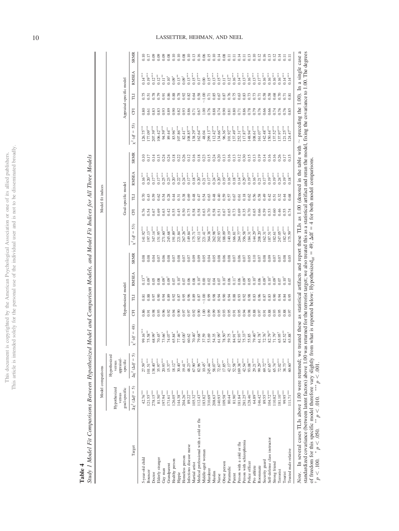This article is intended solely for the personal use of the individual user and is not to be disseminated broadly. This article is intended solely for the personal use of the individual user and is not to be disseminated broadly. This document is copyrighted by the American Psychological Association or one of its allied publishers. This document is copyrighted by the American Psychological Association or one of its allied publishers.

**Table 4**

Study 1 Model Fit Comparisons Between Hypothesized Model and Comparison Models, and Model Fit Indices for All Three Models Study 1 Model Fit Comparisons Between Hypothesized Model and Comparison Models, and Model Fit Indices for All Three Models

|                                                                                                                                                                                                                                                                                  | Model comparisons                |                                      |                                                                                                                                              |      |                    |                     |                  |                             |      | Model fit indices   |                            |                  |                               |      |                          |                          |                            |
|----------------------------------------------------------------------------------------------------------------------------------------------------------------------------------------------------------------------------------------------------------------------------------|----------------------------------|--------------------------------------|----------------------------------------------------------------------------------------------------------------------------------------------|------|--------------------|---------------------|------------------|-----------------------------|------|---------------------|----------------------------|------------------|-------------------------------|------|--------------------------|--------------------------|----------------------------|
|                                                                                                                                                                                                                                                                                  | Hypothesized<br>versus           | Hypothesized<br>appraisal-<br>versus |                                                                                                                                              |      |                    |                     |                  |                             |      |                     |                            |                  |                               |      |                          |                          |                            |
|                                                                                                                                                                                                                                                                                  | goal-specific                    | specific                             |                                                                                                                                              |      | Hypothesized model |                     |                  |                             |      | Goal-specific model |                            |                  |                               |      | Appraisal-specific model |                          |                            |
| Target                                                                                                                                                                                                                                                                           | $\Delta x^2$ ( $\Delta df = 5$ ) | ဂ<br>$\Delta \chi^2$ ( $\Delta df =$ | $df = 48$<br>$\approx$                                                                                                                       | E    | E                  | RMSEA               | <b>SRMR</b>      | $\chi^2 (df = 53)$          | E    | E                   | RMSEA                      | <b>SRMR</b>      | 53)<br>$=$ $\mathcal{P}$<br>℁ | E    | E                        | RMSEA                    | <b>SRMR</b>                |
| 5-year-old child                                                                                                                                                                                                                                                                 | $42.76***$                       | $27.59$ <sup>ass</sup>               | 99.16 <sup>***</sup>                                                                                                                         | 0.86 | $\overline{8}$     | $0.13^{*}$          | 0.08             | $141.92***$                 |      | 0.70                | $0.16***$                  |                  | $26.75***$                    | 0.80 | 0.75                     | $0.14***$                |                            |
| Bouncer                                                                                                                                                                                                                                                                          | $121.55***$                      | $101.51***$                          | $75.58***$                                                                                                                                   | 0.91 | 0.88               | $0.09^{\dagger}$    | 0.08             | $197.13***$                 | 0.54 | 0.43                | $0.20***$                  | 2.17             | $177.09^{\rm \,nm}$           | 0.61 | 0.51                     | $0.19***$                | 0.17                       |
| Doctor                                                                                                                                                                                                                                                                           | $278.15***$                      | $138.40***$                          | 58.99 <sup>*</sup>                                                                                                                           | 0.98 | 0.97               | 0.05                |                  | 347.14***                   | 0.67 | 0.59                | $0.17^{\circ\circ\circ}$   | 0.14             | .07.39***                     | 0.83 | 0.78                     | $0.12***$                | 0.09                       |
| Elderly stranger                                                                                                                                                                                                                                                                 | $81.50^{\rm \,nm}$               | $35.97***$                           | $70.45$ <sup>*</sup>                                                                                                                         | 0.93 | 0.90               | 0.08                | 0.04             | 51.95 <sup>***</sup>        | 0.69 | 0.62                | $0.17^{\circ\circ\circ}$   | 3.15             | $06.42***$                    | 0.83 | 0.79                     | $0.12***$                | 0.09                       |
| Gay man                                                                                                                                                                                                                                                                          | 197.94***                        | $20.93***$                           | 73.66 <sup>*</sup>                                                                                                                           | 0.96 | 0.94               | $0.09^{\dagger}$    | 0.06             | 271.60 <sup>***</sup>       | 0.63 | 0.54                | $0.25***$                  | 0.24             | 94.59***                      | 0.93 | 0.91                     | i<br>E                   | 0.09                       |
| Grandparent                                                                                                                                                                                                                                                                      | $171.61***$                      | $15.37**$                            | 74.07**                                                                                                                                      | 0.92 | 0.89               | $0.09^{\dagger}$    | 0.08             | 245.68 <sup>***</sup>       | 0.42 | 0.28                | $0.23***$                  | 0.24             | $89.44^{\circ\circ}$          | 0.89 | 0.86                     | $0.10^{*}$               | 0.08                       |
| Healthy person                                                                                                                                                                                                                                                                   | $26.05***$                       | $18.12***$                           | 65.84*                                                                                                                                       | 0.94 | 0.92               | 0.07                | 0.07             | $191.89***$                 | 0.55 | 0.44                | $0.20***$                  | 0.18             | $83.96***$                    | 0.90 | 0.88                     | $0.09^{*}$               |                            |
| Hippie                                                                                                                                                                                                                                                                           | $144.38***$                      | $30.40***$                           | $77.46^{\circ}$                                                                                                                              | 0.90 | 0.87               | $0.10^{*}$          | $0.08$<br>0.07   | $221.84***$                 | 0.45 | 0.31                | $0.22***$                  | 0.22             | $107.86^{\,\mathrm{ass}}$     | 0.82 | 0.78                     | $0.13***$                | $0.10$<br>$0.38$<br>$0.10$ |
| Homeless person                                                                                                                                                                                                                                                                  | 204.26***                        | $19.41***$                           | $63.00^{\dagger}$                                                                                                                            | 0.97 | 0.95               | 0.07                |                  | $267.26***$                 | 0.50 | 0.38                | $0.24***$                  | 0.26             | $82.41***$                    | 0.93 | 0.92                     | $0.09^{\dagger}$         |                            |
| Infectious disease nurse                                                                                                                                                                                                                                                         | 89.22 <sup>***</sup>             | $48.23***$                           | 60.62                                                                                                                                        | 0.97 | 0.96               | 0.06                | 0.07             | $149.84***$                 | 0.75 | 0.69                | $0.17^{\circ\circ\circ}$   | 0.12             | $08.85***$                    | 0.86 | 0.82                     | $0.13***$                |                            |
| Martial artist                                                                                                                                                                                                                                                                   | $105.32***$                      | $67.90^{\circ\circ\circ}$            | $70.40*$                                                                                                                                     | 0.92 | 0.89               | 0.08                | 0.09             | $175.71***$                 | 0.58 | 0.48                | $0.18***$                  | 0.16             | $138.29***$                   | 0.71 | 0.64                     | $0.15***$                |                            |
| Medical professional with a cold or flu                                                                                                                                                                                                                                          | $112.43***$                      | 82.96 <sup>***</sup>                 | 79.68 <sup>**</sup>                                                                                                                          | 0.90 | 0.87               | $0.10^{*}$          | 8.83<br>0.00     | $192.11***$                 | 0.58 | 0.47                | $0.20***$                  | 0.18             | $62.64***$                    | 0.67 | 0.58                     | $0.17***$                | 13<br>0.000<br>0.000       |
| Middle-aged woman                                                                                                                                                                                                                                                                | $183.82***$                      | $10.45^{\dagger}$                    | 37.59                                                                                                                                        | 1.00 | $-1.00$            | 0.00                |                  | $221.41***$                 | 0.63 | 0.54                | $0.21***$                  | 0.23             | 48.04                         | 1.00 | $-1.00$                  | 0.00                     |                            |
| Murderer                                                                                                                                                                                                                                                                         | $310.69***$                      | 245.44***                            | 53.69                                                                                                                                        | 0.99 | 0.99               | $0.02\,$            |                  | $364.38***$                 |      | 0.63                | $0.17***$                  | 0.15             | 299.13***                     | 0.76 | 0.71                     | $0.15***$                |                            |
| Muslim                                                                                                                                                                                                                                                                           | $208.63***$                      | 58.07***                             | 54.35                                                                                                                                        | 0.99 | 0.98               | 0.04                | 0.05             | $262.98^{\rm \, s\, s\, s}$ | 0.58 | 0.48                | $0.24***$                  | 0.24             | $12.42***$                    | 0.88 | 0.85                     | $0.13***$                |                            |
| Nurse                                                                                                                                                                                                                                                                            | $140.93***$                      | $72.67***$                           | $61.99^{\dagger}$                                                                                                                            | 0.95 | 0.94               | 0.07                | $0.08$           | $202.93***$                 | 0.51 | 0.40                | $0.20^{\ast\ast\ast}$      | 0.20             | 134.66 <sup>***</sup>         | 0.74 | 0.67                     | $0.15***$                | 0.14                       |
| Obese person                                                                                                                                                                                                                                                                     | $109.58^{\,\mathrm{ass}}$        | $17.85^{\circ\circ}$                 | $78.50***$                                                                                                                                   | 0.93 | 0.90               | $0.10^{4}$          | 0.08<br>0.07     | $188.09***$                 | 0.67 | 0.59                | $0.19***$                  | 0.13             | 96.36 <sup>***</sup>          | 0.90 | 0.87                     | $0.11$ <sup>**</sup>     | $0.35$<br>$0.11$           |
| Paramedic                                                                                                                                                                                                                                                                        | $80.44^{\,\mathrm{ass}}$         | $42.17***$                           | 59.75                                                                                                                                        | 0.95 | 0.94               | 0.06                |                  | $140.19***$                 | 0.65 | 0.57                | $0.16***$                  | $0.16$<br>$0.13$ | $101.92***$                   | 0.81 | 0.76                     | $0.12***$                |                            |
| Parent                                                                                                                                                                                                                                                                           | $81.90^{\rm \, s\, s\, s}$       | $52.58***$                           | 84.91 <sup>**</sup>                                                                                                                          | 0.91 | 0.88               | $0.11$ <sup>*</sup> |                  | $166.81***$                 | 0.73 | 0.67                | $0.18***$                  |                  | $(37.49***$                   | 0.80 | 0.75                     | $0.16***$                |                            |
| Person with a cold or flu                                                                                                                                                                                                                                                        | $181.84***$                      | $169.38***$                          | $82.93***$                                                                                                                                   | 0.95 | 0.93               | 0.06                | 0.06             | $264.77***$                 | 0.69 | 0.61                | $0.14^{\circ\circ\circ}$   | 0.12             | $252.31***$                   | 0.71 | 0.63                     | $0.14***$                | 0.14                       |
| Person with schizophrenia                                                                                                                                                                                                                                                        | $281.25***$                      | $42.54***$                           | $75.33***$                                                                                                                                   | 0.94 | 0.92               | $0.09^{\dagger}$    | 0.07             | $856.58***$                 | 0.35 | 0.18                | $0.29***$                  | 0.30             | $117.87^{\rm \, s\, s\, s}$   | 0.86 | 0.83                     | $0.13***$                | 119919911<br>500000000     |
| Police officer                                                                                                                                                                                                                                                                   | $128.46^{\,\mathrm{ass}}$        | $93.08^{\rm \tiny\rm sys}$           | 55.85                                                                                                                                        | 0.98 | 0.98               | 0.05                | $0.05$<br>$0.10$ | $184.31***$                 | 0.70 | 0.62                | $0.19^{\circ\circ\circ}$   | 0.15             | $148.94***$                   | 0.78 | 0.73                     | $0.16***$                |                            |
| Pro athlete                                                                                                                                                                                                                                                                      | $64.89^{\circ\circ\circ}$        | $29.21***$                           | 79.40 <sup>**</sup>                                                                                                                          | 0.88 | 0.83               | $0.10^{*}$          |                  | $44.29***$                  | 0.65 | 0.56                | $0.16***$                  | 0.13             | $108.61***$                   | 0.79 | 0.73                     | $0.13***$                |                            |
| Roommate                                                                                                                                                                                                                                                                         | $146.42***$                      | 99.29***                             | $61.78^{\dagger}$                                                                                                                            | 0.97 | 0.96               | 0.06                | 0.07             | $208.20***$                 | 0.66 | 0.58                | $0.21***$                  | 0.19             | $161.07***$                   | 0.76 | 0.71                     | $0.17***$                |                            |
| Security guard                                                                                                                                                                                                                                                                   | $89.55^{\rm \,nm}$               | $69.72***$                           | $72.76^{\circ}$                                                                                                                              | 0.91 | 0.87               | $0.09^{\dagger}$    | 0.08             | $62.31***$                  | 0.59 | 0.49                | $0.17***$                  | 0.14             | $142.48***$                   | 0.66 | 0.58                     | $0.16***$                |                            |
| Self-defense class instructor                                                                                                                                                                                                                                                    | $104.72***$                      | $67.65***$                           | 82.79**                                                                                                                                      | 0.88 | 0.83               | $0.10^{4}$          | 0.09             | $.87.51***$                 | 0.53 | 0.42                | $0.19^{\circ\circ\circ}$   | 0.16             | $150.44***$                   | 0.66 | 0.58                     | $0.16^{\circ\circ\circ}$ |                            |
| Strong friend                                                                                                                                                                                                                                                                    | $110.82***$                      | $65.74***$                           | $71.79^{\circ}$                                                                                                                              | 0.93 | 0.90               | $0.09^{\dagger}$    | 0.07             | $182.61***$                 | 0.60 | 0.51                | $0.19^{\circ\circ\circ}$   | 0.16             | $37.52***$                    | 0.74 | 0.68                     | $0.16^{\circ\circ\circ}$ |                            |
| Terrorist                                                                                                                                                                                                                                                                        | $81.10***$                       | $72.02***$                           | $55.95^{\dagger}$                                                                                                                            | 0.95 | 0.94               | 0.07                | 0.07             | 247.05***                   | 0.46 | 0.32                | $0.24***$                  | 0.26             | $.37.97***$                   | 0.76 | 0.70                     | $0.16***$                |                            |
| Tourist                                                                                                                                                                                                                                                                          | 99.95 <sup>***</sup>             | $38.73***$                           | $82.52***$                                                                                                                                   | 0.88 | 0.84               | $0.10^{\circ}$      | 0.08             | $-82.47***$                 | 0.55 | 0.44                | $0.19***$                  | 2.17             | $21.25***$                    | 0.76 | 0.71                     | $0.14***$                | 0.11                       |
| Trusted male relative                                                                                                                                                                                                                                                            | $111.71^{\,\mathrm{res}}$        | $60.60^{\,\mathrm{***}}$             | $63.88^{\dagger}$                                                                                                                            | 0.97 | 0.95               | 0.07                | 0.05             | $.75.59***$                 | 0.74 | 0.68                | $0.18^{\,\circ\circ\circ}$ | 0.15             | $124.47***$                   | 0.85 | 0.81                     | $0.14^{\circ\circ\circ}$ | $\overline{0}$ .           |
| standardized covariance (between latent factors) above 1.00 was returned for the terrorist target; we also treated this as a statistical artifact and reran the model, fixing the covariance to 1.00. The degrees<br>In several cases TLIs above 1.00 were returned; we<br>Note. |                                  |                                      | treated these as statistical artifacts and report these TLIs as 1.00 (denoted in the table with $\sim$ preceding the 1.00). In a single case |      |                    |                     |                  |                             |      |                     |                            |                  |                               |      |                          |                          | a                          |

of freedom for this specific model therefore vary slightly from what is reported below: Hypothesized $_{\text{df}}$  =

†

 $\bar{p}$   $<$  100.  $\tilde{p}$ 

 $p < .050$ .  $*$ 

-

 $p < 0.010$ .  $p \leq 0.010$ .

 $\frac{3}{4}$  $p > 0.001$ .

 $= 49$ ;  $\Delta df =$ 

4 for both model comparisons.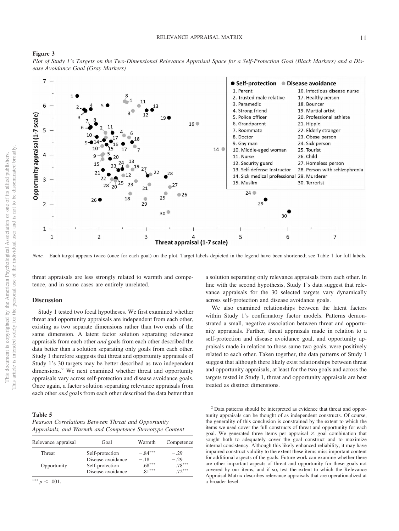#### **Figure 3**

*Plot of Study 1's Targets on the Two-Dimensional Relevance Appraisal Space for a Self-Protection Goal (Black Markers) and a Disease Avoidance Goal (Gray Markers)*



*Note.* Each target appears twice (once for each goal) on the plot. Target labels depicted in the legend have been shortened; see Table 1 for full labels.

threat appraisals are less strongly related to warmth and competence, and in some cases are entirely unrelated.

#### **Discussion**

Study 1 tested two focal hypotheses. We first examined whether threat and opportunity appraisals are independent from each other, existing as two separate dimensions rather than two ends of the same dimension. A latent factor solution separating relevance appraisals from each other *and* goals from each other described the data better than a solution separating only goals from each other. Study 1 therefore suggests that threat and opportunity appraisals of Study 1's 30 targets may be better described as two independent dimensions.<sup>2</sup> We next examined whether threat and opportunity appraisals vary across self-protection and disease avoidance goals. Once again, a factor solution separating relevance appraisals from each other *and* goals from each other described the data better than

<span id="page-11-0"></span>**Table 5**

| Pearson Correlations Between Threat and Opportunity      |  |  |
|----------------------------------------------------------|--|--|
| Appraisals, and Warmth and Competence Stereotype Content |  |  |

| Relevance appraisal | Goal                                 | Warmth             | Competence         |
|---------------------|--------------------------------------|--------------------|--------------------|
| <b>Threat</b>       | Self-protection                      | $-.84***$          | $-.29$             |
| Opportunity         | Disease avoidance<br>Self-protection | $-.18$<br>$.68***$ | $-.29$<br>$.78***$ |
|                     | Disease avoidance                    | $81***$            | $72***$            |

\*\*\*  $p < .001$ .

a solution separating only relevance appraisals from each other. In line with the second hypothesis, Study 1's data suggest that relevance appraisals for the 30 selected targets vary dynamically across self-protection and disease avoidance goals.

We also examined relationships between the latent factors within Study 1's confirmatory factor models. Patterns demonstrated a small, negative association between threat and opportunity appraisals. Further, threat appraisals made in relation to a self-protection and disease avoidance goal, and opportunity appraisals made in relation to those same two goals, were positively related to each other. Taken together, the data patterns of Study 1 suggest that although there likely exist relationships between threat and opportunity appraisals, at least for the two goals and across the targets tested in Study 1, threat and opportunity appraisals are best treated as distinct dimensions.

<sup>2</sup> Data patterns should be interpreted as evidence that threat and opportunity appraisals can be thought of as independent constructs. Of course, the generality of this conclusion is constrained by the extent to which the items we used cover the full constructs of threat and opportunity for each goal. We generated three items per appraisal  $\times$  goal combination that sought both to adequately cover the goal construct and to maximize internal consistency. Although this likely enhanced reliability, it may have impaired construct validity to the extent these items miss important content for additional aspects of the goals. Future work can examine whether there are other important aspects of threat and opportunity for these goals not covered by our items, and if so, test the extent to which the Relevance Appraisal Matrix describes relevance appraisals that are operationalized at a broader level.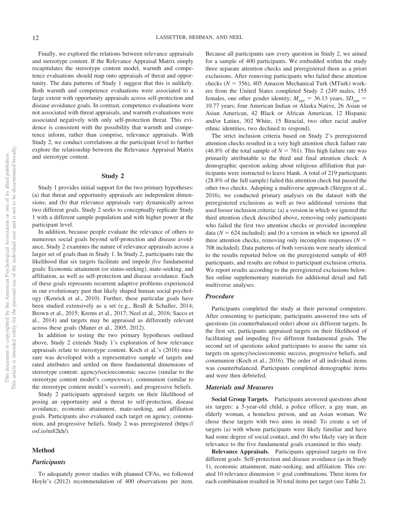Finally, we explored the relations between relevance appraisals and stereotype content. If the Relevance Appraisal Matrix simply recapitulates the stereotype content model, warmth and competence evaluations should map onto appraisals of threat and opportunity. The data patterns of Study 1 suggest that this is unlikely. Both warmth and competence evaluations were associated to a large extent with opportunity appraisals across self-protection and disease avoidance goals. In contrast, competence evaluations were not associated with threat appraisals, and warmth evaluations were associated negatively with only self-protection threat. This evidence is consistent with the possibility that warmth and competence inform, rather than comprise, relevance appraisals. With Study 2, we conduct correlations at the participant level to further explore the relationship between the Relevance Appraisal Matrix and stereotype content.

#### **Study 2**

Study 1 provides initial support for the two primary hypotheses: (a) that threat and opportunity appraisals are independent dimensions; and (b) that relevance appraisals vary dynamically across two different goals. Study 2 seeks to conceptually replicate Study 1 with a different sample population and with higher power at the participant level.

In addition, because people evaluate the relevance of others to numerous social goals beyond self-protection and disease avoidance, Study 2 examines the nature of relevance appraisals across a larger set of goals than in Study 1. In Study 2, participants rate the likelihood that six targets facilitate and impede *five* fundamental goals: Economic attainment (or status-seeking), mate-seeking, and affiliation, as well as self-protection and disease avoidance. Each of these goals represents recurrent adaptive problems experienced in our evolutionary past that likely shaped human social psychology (Kenrick et al., 2010). Further, these particular goals have been studied extensively as a set (e.g., Beall & Schaller, 2014; [Brown et al., 2015;](#page-21-1) Krems et al., 2017; Neel et al., 2016; Sacco et al., 2014) and targets may be appraised as differently relevant across these goals (Maner et al., 2005, 2012).

In addition to testing the two primary hypotheses outlined above, Study 2 extends Study 1's exploration of how relevance appraisals relate to stereotype content. Koch et al.'s (2016) measure was developed with a representative sample of targets and rated attributes and settled on three fundamental dimensions of stereotype content: agency/socioeconomic success (similar to the stereotype content model's *competence*), communion (similar to the stereotype content model's *warmth*), and progressive beliefs.

Study 2 participants appraised targets on their likelihood of posing an opportunity and a threat to self-protection, disease avoidance, economic attainment, mate-seeking, and affiliation goals. Participants also evaluated each target on agency, communion, and progressive beliefs. Study 2 was preregistered [\(https://](https://osf.io/m82kh/) [osf.io/m82kh/\)](https://osf.io/m82kh/).

## **Method**

# *Participants*

Because all participants saw every question in Study 2, we aimed for a sample of 400 participants. We embedded within the study three separate attention checks and preregistered them as a priori exclusions. After removing participants who failed these attention checks  $(N = 356)$ , 405 Amazon Mechanical Turk (MTurk) workers from the United States completed Study 2 (249 males, 155 females, one other gender identity;  $M_{\text{age}} = 36.13$  years,  $SD_{\text{age}} =$ 10.77 years; four American Indian or Alaska Native, 26 Asian or Asian American, 42 Black or African American, 12 Hispanic and/or Latinx, 302 White, 15 Biracial, two other racial and/or ethnic identities, two declined to respond).

The strict inclusion criteria based on Study 2's preregistered attention checks resulted in a very high attention check failure rate  $(46.8\% \text{ of the total sample of } N = 761)$ . This high failure rate was primarily attributable to the third and final attention check: A demographic question asking about religious affiliation that participants were instructed to leave blank. A total of 219 participants (28.8% of the full sample) failed this attention check but passed the other two checks. Adopting a multiverse approach (Steegen et al., 2016), we conducted primary analyses on the dataset with the preregistered exclusions as well as two additional versions that used looser inclusion criteria: (a) a version in which we ignored the third attention check described above, removing only participants who failed the first two attention checks or provided incomplete data ( $N = 624$  included); and (b) a version in which we ignored all three attention checks, removing only incomplete responses  $(N =$ 708 included). Data patterns of both versions were nearly identical to the results reported below on the preregistered sample of 405 participants, and results are robust to participant exclusion criteria. We report results according to the preregistered exclusions below. See [online supplementary materials](https://doi.org/10.1037/pspi0000359.supp) for additional detail and full multiverse analyses.

#### *Procedure*

Participants completed the study at their personal computers. After consenting to participate, participants answered two sets of questions (in counterbalanced order) about six different targets. In the first set, participants appraised targets on their likelihood of facilitating and impeding five different fundamental goals. The second set of questions asked participants to assess the same six targets on agency/socioeconomic success, progressive beliefs, and communion (Koch et al., 2016). The order of all individual items was counterbalanced. Participants completed demographic items and were then debriefed.

# *Materials and Measures*

**Social Group Targets.** Participants answered questions about six targets: a 5-year-old child, a police officer, a gay man, an elderly woman, a homeless person, and an Asian woman. We chose these targets with two aims in mind: To create a set of targets (a) with whom participants were likely familiar and have had some degree of social contact, and (b) who likely vary in their relevance to the five fundamental goals examined in this study.

**Relevance Appraisals.** Participants appraised targets on five different goals: Self-protection and disease avoidance (as in Study 1), economic attainment, mate-seeking, and affiliation. This created 10 relevance dimension  $\times$  goal combinations. Three items for each combination resulted in 30 total items per target (see Table 2).

To adequately power studies with planned CFAs, we followed Hoyle's (2012) recommendation of 400 observations per item.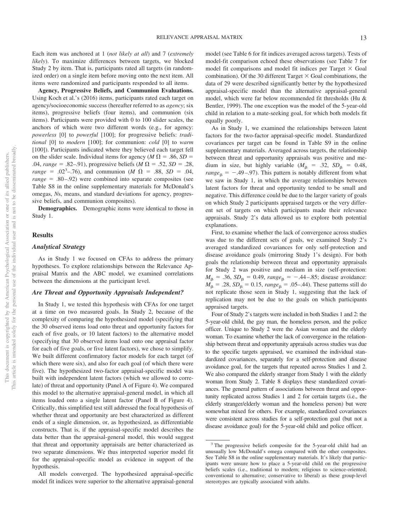Each item was anchored at 1 (*not likely at all*) and 7 (*extremely likely*). To maximize differences between targets, we blocked Study 2 by item. That is, participants rated all targets (in randomized order) on a single item before moving onto the next item. All items were randomized and participants responded to all items.

**Agency, Progressive Beliefs, and Communion Evaluations.** Using Koch et al.'s (2016) items, participants rated each target on agency/socioeconomic success (hereafter referred to as *agency*; six items), progressive beliefs (four items), and communion (six items). Participants were provided with 0 to 100 slider scales, the anchors of which were two different words (e.g., for agency: *powerless* [0] to *powerful* [100]; for progressive beliefs: *traditional* [0] to *modern* [100]; for communion: *cold* [0] to *warm* [100]). Participants indicated where they believed each target fell on the slider scale. Individual items for agency ( $M \Omega = .86$ , *SD* = .04, *range* = .82–.91), progressive beliefs (*M*  $\Omega$  = .52, *SD* = .28,  $range = .02<sup>3</sup> – .76$ , and communion (*M*  $\Omega = .88$ , *SD* = .04, *range* = .80–.92) were combined into separate composites (see [Table S8](https://doi.org/10.1037/pspi0000359.supp) in the online supplementary materials for McDonald's omegas, *N*s, means, and standard deviations for agency, progressive beliefs, and communion composites).

**Demographics.** Demographic items were identical to those in Study 1.

# **Results**

# *Analytical Strategy*

As in Study 1 we focused on CFAs to address the primary hypotheses. To explore relationships between the Relevance Appraisal Matrix and the ABC model, we examined correlations between the dimensions at the participant level.

# *Are Threat and Opportunity Appraisals Independent?*

In Study 1, we tested this hypothesis with CFAs for one target at a time on two measured goals. In Study 2, because of the complexity of comparing the hypothesized model (specifying that the 30 observed items load onto threat and opportunity factors for each of five goals, or 10 latent factors) to the alternative model (specifying that 30 observed items load onto one appraisal factor for each of five goals, or five latent factors), we chose to simplify. We built different confirmatory factor models for each target (of which there were six), and also for each goal (of which there were five). The hypothesized two-factor appraisal-specific model was built with independent latent factors (which we allowed to correlate) of threat and opportunity (Panel A of Figure 4). We compared this model to the alternative appraisal-general model, in which all items loaded onto a single latent factor (Panel B of Figure 4). Critically, this simplified test still addressed the focal hypothesis of whether threat and opportunity are best characterized as different ends of a single dimension, or, as hypothesized, as differentiable constructs. That is, if the appraisal-specific model describes the data better than the appraisal-general model, this would suggest that threat and opportunity appraisals are better characterized as two separate dimensions. We thus interpreted superior model fit for the appraisal-specific model as evidence in support of the hypothesis.

All models converged. The hypothesized appraisal-specific model fit indices were superior to the alternative appraisal-general model (see Table 6 for fit indices averaged across targets). Tests of model-fit comparison echoed these observations (see [Table 7](#page-15-0) for model fit comparisons and model fit indices per Target  $\times$  Goal combination). Of the 30 different Target  $\times$  Goal combinations, the data of 29 were described significantly better by the hypothesized appraisal-specific model than the alternative appraisal-general model, which were far below recommended fit thresholds (Hu & Bentler, 1999). The one exception was the model of the 5-year-old child in relation to a mate-seeking goal, for which both models fit equally poorly.

As in Study 1, we examined the relationships between latent factors for the two-factor appraisal-specific model. Standardized covariances per target can be found in [Table S9](https://doi.org/10.1037/pspi0000359.supp) in the online supplementary materials. Averaged across targets, the relationship between threat and opportunity appraisals was positive and medium in size, but highly variable  $(M_\beta = .32, SD_\beta = 0.48,$  $range_{\beta} = -.49-.97$ ). This pattern is notably different from what we saw in Study 1, in which the average relationships between latent factors for threat and opportunity tended to be small and negative. This difference could be due to the larger variety of goals on which Study 2 participants appraised targets or the very different set of targets on which participants made their relevance appraisals. Study 2's data allowed us to explore both potential explanations.

First, to examine whether the lack of convergence across studies was due to the different sets of goals, we examined Study 2's averaged standardized covariances for only self-protection and disease avoidance goals (mirroring Study 1's design). For both goals the relationship between threat and opportunity appraisals for Study 2 was positive and medium in size (self-protection:  $M_{\rm B} = .36$ ,  $SD_{\rm B} = 0.49$ ,  $range_{\rm B} = -.44-.85$ ; disease avoidance:  $M_{\rm \beta} = .28$ ,  $SD_{\rm \beta} = 0.15$ ,  $range_{\rm \beta} = .05 - .44$ ). These patterns still do not replicate those seen in Study 1, suggesting that the lack of replication may not be due to the goals on which participants appraised targets.

Four of Study 2's targets were included in both Studies 1 and 2: the 5-year-old child, the gay man, the homeless person, and the police officer. Unique to Study 2 were the Asian woman and the elderly woman. To examine whether the lack of convergence in the relationship between threat and opportunity appraisals across studies was due to the specific targets appraised, we examined the individual standardized covariances, separately for a self-protection and disease avoidance goal, for the targets that repeated across Studies 1 and 2. We also compared the elderly stranger from Study 1 with the elderly woman from Study 2. Table 8 displays these standardized covariances. The general pattern of associations between threat and opportunity replicated across Studies 1 and 2 for certain targets (i.e., the elderly stranger/elderly woman and the homeless person) but were somewhat mixed for others. For example, standardized covariances were consistent across studies for a self-protection goal (but not a disease avoidance goal) for the 5-year-old child and police officer.

<sup>3</sup> The progressive beliefs composite for the 5-year-old child had an unusually low McDonald's omega compared with the other composites. See [Table S8](https://doi.org/10.1037/pspi0000359.supp) in the online supplementary materials. It's likely that participants were unsure how to place a 5-year-old child on the progressive beliefs scales (i.e., traditional to modern; religious to science-oriented; conventional to alternative; conservative to liberal) as these group-level stereotypes are typically associated with adults.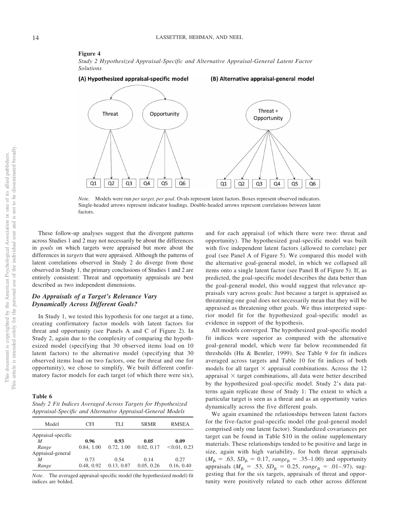#### **Figure 4**

*Study 2 Hypothesized Appraisal-Specific and Alternative Appraisal-General Latent Factor Solutions*



*Note.* Models were run *per target, per goal*. Ovals represent latent factors. Boxes represent observed indicators. Single-headed arrows represent indicator loadings. Double-headed arrows represent correlations between latent factors.

These follow-up analyses suggest that the divergent patterns across Studies 1 and 2 may not necessarily be about the differences in *goals* on which targets were appraised but more about the differences in *targets* that were appraised. Although the patterns of latent correlations observed in Study 2 do diverge from those observed in Study 1, the primary conclusions of Studies 1 and 2 are entirely consistent: Threat and opportunity appraisals are best described as two independent dimensions.

# *Do Appraisals of a Target's Relevance Vary Dynamically Across Different Goals?*

In Study 1, we tested this hypothesis for one target at a time, creating confirmatory factor models with latent factors for threat and opportunity (see Panels A and C of Figure 2). In Study 2, again due to the complexity of comparing the hypothesized model (specifying that 30 observed items load on 10 latent factors) to the alternative model (specifying that 30 observed items load on two factors, one for threat and one for opportunity), we chose to simplify. We built different confirmatory factor models for each target (of which there were six),

**Table 6**

| Study 2 Fit Indices Averaged Across Targets for Hypothesized |  |
|--------------------------------------------------------------|--|
| Appraisal-Specific and Alternative Appraisal-General Models  |  |

| Model                   | CFI        | TLI        | <b>SRMR</b> | <b>RMSEA</b> |
|-------------------------|------------|------------|-------------|--------------|
| Appraisal-specific<br>M | 0.96       | 0.93       | 0.05        | 0.09         |
| Range                   | 0.84, 1.00 | 0.72, 1.00 | 0.02, 0.17  | < 0.01, 0.23 |
| Appraisal-general       |            |            |             |              |
| M                       | 0.73       | 0.54       | 0.14        | 0.27         |
| Range                   | 0.48, 0.92 | 0.13, 0.87 | 0.05, 0.26  | 0.16, 0.40   |

*Note*. The averaged appraisal-specific model (the hypothesized model) fit indices are bolded.

and for each appraisal (of which there were two: threat and opportunity). The hypothesized goal-specific model was built with five independent latent factors (allowed to correlate) per goal (see Panel A of Figure 5). We compared this model with the alternative goal-general model, in which we collapsed all items onto a single latent factor (see Panel B of Figure 5). If, as predicted, the goal-specific model describes the data better than the goal-general model, this would suggest that relevance appraisals vary across goals: Just because a target is appraised as threatening one goal does not necessarily mean that they will be appraised as threatening other goals. We thus interpreted superior model fit for the hypothesized goal-specific model as evidence in support of the hypothesis.

All models converged. The hypothesized goal-specific model fit indices were superior as compared with the alternative goal-general model, which were far below recommended fit thresholds (Hu & Bentler, 1999). See [Table 9](#page-17-0) for fit indices averaged across targets and Table 10 for fit indices of both models for all target  $\times$  appraisal combinations. Across the 12 appraisal  $\times$  target combinations, all data were better described by the hypothesized goal-specific model. Study 2's data patterns again replicate those of Study 1: The extent to which a particular target is seen as a threat and as an opportunity varies dynamically across the five different goals.

We again examined the relationships between latent factors for the five-factor goal-specific model (the goal-general model comprised only one latent factor). Standardized covariances per target can be found in [Table S10](https://doi.org/10.1037/pspi0000359.supp) in the online supplementary materials. These relationships tended to be positive and large in size, again with high variability, for both threat appraisals  $(M_{\beta} = .63, SD_{\beta} = 0.17, range_{\beta} = .35{\text -}1.00)$  and opportunity appraisals ( $M_{\beta} = .53$ ,  $SD_{\beta} = 0.25$ ,  $range_{\beta} = .01-.97$ ), suggesting that for the six targets, appraisals of threat and opportunity were positively related to each other across different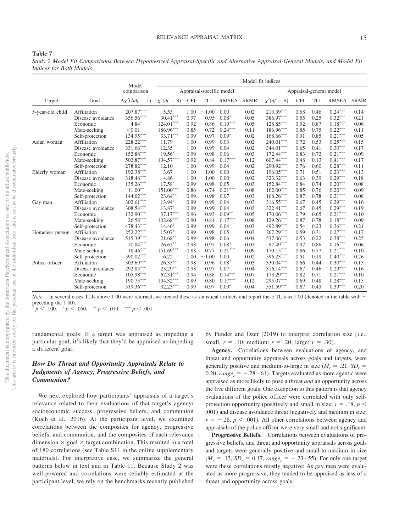#### RELEVANCE APPRAISAL MATRIX 15

#### <span id="page-15-0"></span>**Table 7**

*Study 2 Model Fit Comparisons Between Hypothesized Appraisal-Specific and Alternative Appraisal-General Models, and Model Fit Indices for Both Models*

|                  |                   | Model                          |                   |            |                          |                  |             | Model fit indices       |            |            |                         |             |
|------------------|-------------------|--------------------------------|-------------------|------------|--------------------------|------------------|-------------|-------------------------|------------|------------|-------------------------|-------------|
|                  |                   | comparison                     |                   |            | Appraisal-specific model |                  |             |                         |            |            | Appraisal-general model |             |
| Target           | Goal              | $\Delta \chi^2(\Delta df = 1)$ | $\chi^2(df = 8)$  | <b>CFI</b> | TLI                      | RMSEA            | <b>SRMR</b> | $\chi^2(df = 9)$        | <b>CFI</b> | <b>TLI</b> | RMSEA                   | <b>SRMR</b> |
| 5-year-old child | Affiliation       | $207.87***$                    | 5.53              | 1.00       | ~1.00                    | 0.00             | 0.02        | $213.39***$             | 0.68       | 0.46       | $0.24***$               | 0.14        |
|                  | Disease avoidance | 356.56***                      | $30.41***$        | 0.97       | 0.95                     | $0.08*$          | 0.05        | 386.97***               | 0.55       | 0.25       | $0.32***$               | 0.21        |
|                  | Economic          | $4.84*$                        | $124.01***$       | 0.92       | 0.86                     | $0.19***$        | 0.05        | $128.85***$             | 0.92       | 0.87       | $0.18***$               | 0.06        |
|                  | Mate-seeking      | < 0.01                         | $186.96***$       | 0.85       | 0.72                     | $0.24***$        | 0.11        | $186.96***$             | 0.85       | 0.75       | $0.22***$               | 0.11        |
|                  | Self-protection   | $134.95***$                    | $33.71***$        | 0.99       | 0.97                     | $0.09*$          | 0.02        | $168.66***$             | 0.91       | 0.85       | $0.21***$               | 0.05        |
| Asian woman      | Affiliation       | $228.22***$                    | 11.79             | 1.00       | 0.99                     | 0.03             | 0.02        | $240.01^{\ast\ast\ast}$ | 0.72       | 0.53       | $0.25***$               | 0.15        |
|                  | Disease avoidance | $331.66***$                    | 12.35             | 1.00       | 0.99                     | 0.04             | 0.02        | $344.01***$             | 0.65       | 0.41       | $0.30***$               | 0.17        |
|                  | Economic          | $152.88^{\ast\ast\ast}$        | $19.56*$          | 0.99       | 0.98                     | 0.06             | 0.03        | $172.44***$             | 0.83       | 0.72       | $0.21***$               | 0.09        |
|                  | Mate-seeking      | $502.87***$                    | $104.57***$       | 0.92       | 0.84                     | $0.17***$        | 0.12        | $607.44***$             | 0.48       | 0.13       | $0.41***$               | 0.17        |
|                  | Self-protection   | 278.82***                      | 12.10             | 1.00       | 0.99                     | 0.04             | 0.02        | 290.92***               | 0.76       | 0.60       | $0.28***$               | 0.11        |
| Elderly woman    | Affiliation       | $192.38^{\ast\ast\ast}$        | 3.67              | 1.00       | ~1.00                    | 0.00             | 0.02        | $196.05***$             | 0.71       | 0.51       | $0.23***$               | 0.13        |
|                  | Disease avoidance | $318.46***$                    | 4.86              | 1.00       | ~1.00                    | 0.00             | 0.02        | 323.32***               | 0.63       | 0.39       | $0.29***$               | 0.18        |
|                  | Economic          | $135.26***$                    | $17.58*$          | 0.99       | 0.98                     | 0.05             | 0.03        | 152.84***               | 0.84       | 0.74       | $0.20***$               | 0.08        |
|                  | Mate-seeking      | $11.00**$                      | $151.00***$       | 0.86       | 0.74                     | $0.21***$        | 0.08        | $162.00***$             | 0.85       | 0.76       | $0.20***$               | 0.09        |
|                  | Self-protection   | $144.62***$                    | $23.64***$        | 0.99       | 0.98                     | 0.07             | 0.03        | 168.26***               | 0.87       | 0.78       | $0.21***$               | 0.08        |
| Gay man          | Affiliation       | $302.61***$                    | $13.94^{\dagger}$ | 0.99       | 0.99                     | 0.04             | 0.03        | $316.55***$             | 0.67       | 0.45       | $0.29***$               | 0.16        |
|                  | Disease avoidance | $308.54***$                    | $13.87^{\dagger}$ | 0.99       | 0.99                     | 0.04             | 0.03        | 322.41***               | 0.67       | 0.45       | $0.29***$               | 0.19        |
|                  | Economic          | $132.90***$                    | $37.17***$        | 0.96       | 0.93                     | $0.09**$         | 0.05        | $170.06***$             | 0.79       | 0.65       | $0.21***$               | 0.10        |
|                  | Mate-seeking      | $26.58***$                     | $102.68***$       | 0.90       | 0.81                     | $0.17***$        | 0.08        | $129.26***$             | 0.87       | 0.78       | $0.18***$               | 0.09        |
|                  | Self-protection   | $478.43***$                    | $14.46^{\dagger}$ | 0.99       | 0.99                     | 0.04             | 0.03        | 492.89***               | 0.54       | 0.23       | $0.36***$               | 0.21        |
| Homeless person  | Affiliation       | 252.22***                      | $15.07^{\dagger}$ | 0.99       | 0.98                     | 0.05             | 0.03        | $267.29***$             | 0.59       | 0.31       | $0.27***$               | 0.17        |
|                  | Disease avoidance | $515.39***$                    | $21.68***$        | 0.99       | 0.98                     | 0.06             | 0.04        | 537.06***               | 0.53       | 0.22       | $0.38***$               | 0.25        |
|                  | Economic          | $70.84***$                     | $26.65***$        | 0.98       | 0.97                     | $0.08^{\dagger}$ | 0.03        | $97.49***$              | 0.92       | 0.86       | $0.16***$               | 0.06        |
|                  | Mate-seeking      | $18.46^{\ast\ast\ast}$         | $151.69***$       | 0.88       | 0.77                     | $0.21***$        | 0.09        | $170.15***$             | 0.86       | 0.77       | $0.21***$               | 0.10        |
|                  | Self-protection   | 590.02***                      | 6.22              | 1.00       | ~1.00                    | 0.00             | 0.02        | $596.23***$             | 0.51       | 0.19       | $0.40***$               | 0.26        |
| Police officer   | Affiliation       | 303.69***                      | $26.35***$        | 0.98       | 0.96                     | $0.08^{\dagger}$ | 0.03        | 330.04***               | 0.66       | 0.44       | $0.30***$               | 0.15        |
|                  | Disease avoidance | $292.85***$                    | $23.29***$        | 0.98       | 0.97                     | 0.07             | 0.04        | $316.14***$             | 0.67       | 0.46       | $0.29***$               | 0.16        |
|                  | Economic          | $105.98***$                    | $67.31***$        | 0.94       | 0.88                     | $0.14***$        | 0.07        | $173.29***$             | 0.82       | 0.71       | $0.21***$               | 0.10        |
|                  | Mate-seeking      | $190.75***$                    | $104.32***$       | 0.89       | 0.80                     | $0.17***$        | 0.12        | 295.07***               | 0.69       | 0.48       | $0.28***$               | 0.15        |
|                  | Self-protection   | 519.36***                      | $32.23***$        | 0.99       | 0.97                     | $0.09*$          | 0.04        | 551.59***               | 0.67       | 0.45       | $0.39***$               | 0.20        |

*Note*. In several cases TLIs above 1.00 were returned; we treated these as statistical artifacts and report these TLIs as 1.00 (denoted in the table with  $\sim$ preceding the 1.00).

 $\frac{1}{T}p < .100.$   $\frac{p}{p} < .050.$   $\frac{1}{T}p < .010.$   $\frac{1}{T}p < .001.$ 

fundamental goals: If a target was appraised as impeding a particular goal, it's likely that they'd be appraised as impeding a different goal.

# *How Do Threat and Opportunity Appraisals Relate to Judgments of Agency, Progressive Beliefs, and Communion?*

We next explored how participants' appraisals of a target's relevance related to their evaluations of that target's agency/ socioeconomic success, progressive beliefs, and communion (Koch et al., 2016). At the participant level, we examined correlations between the composites for agency, progressive beliefs, and communion, and the composites of each relevance dimension  $\times$  goal  $\times$  target combination. This resulted in a total of 180 correlations (see [Table S11](https://doi.org/10.1037/pspi0000359.supp) in the online supplementary materials). For interpretive ease, we summarize the general patterns below in text and in Table 11. Because Study 2 was well-powered and correlations were reliably estimated at the participant level, we rely on the benchmarks recently published by Funder and Ozer (2019) to interpret correlation size (i.e., small:  $r = .10$ ; medium:  $r = .20$ ; large:  $r = .30$ ).

**Agency.** Correlations between evaluations of agency, and threat and opportunity appraisals across goals and targets, were generally positive and medium-to-large in size  $(M_r = .21, SD_r =$ 0.20,  $range_r = -.28-.61$ ). Targets evaluated as more agentic were appraised as more likely to pose a threat *and* an opportunity across the five different goals. One exception to this pattern is that agency evaluations of the police officer were correlated with only selfprotection opportunity (positively and small in size;  $r = .18$ ,  $p <$ .001) and disease avoidance threat (negatively and medium in size;  $r = -.28$ ,  $p < .001$ ). All other correlations between agency and appraisals of the police officer were very small and not significant.

**Progressive Beliefs.** Correlations between evaluations of progressive beliefs, and threat and opportunity appraisals across goals and targets were generally positive and small-to-medium in size  $(M_r = .13, SD_r = 0.17, range_r = -.23-.55)$ . For only one target were these correlations mostly negative: As gay men were evaluated as more progressive, they tended to be appraised as less of a threat and opportunity across goals.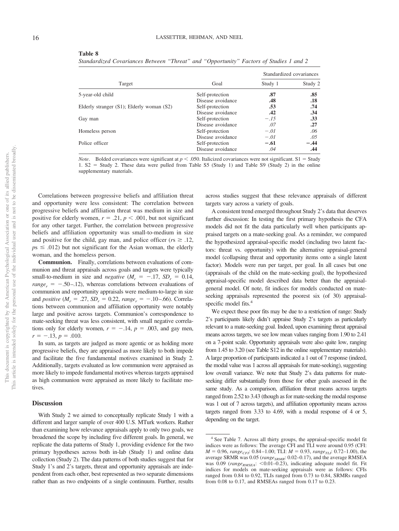| able 8 |
|--------|
|--------|

*Standardized Covariances Between "Threat" and "Opportunity" Factors of Studies 1 and 2*

|                                           |                   | Standardized covariances |         |  |  |
|-------------------------------------------|-------------------|--------------------------|---------|--|--|
| Target                                    | Goal              | Study 1                  | Study 2 |  |  |
| 5-year-old child                          | Self-protection   | .87                      | .85     |  |  |
|                                           | Disease avoidance | .48                      | .18     |  |  |
| Elderly stranger (S1); Elderly woman (S2) | Self-protection   | .53                      | .74     |  |  |
|                                           | Disease avoidance | .42                      | .34     |  |  |
| Gay man                                   | Self-protection   | $-.15$                   | .33     |  |  |
|                                           | Disease avoidance | .07                      | .27     |  |  |
| Homeless person                           | Self-protection   | $-.01$                   | .06     |  |  |
|                                           | Disease avoidance | $-.01$                   | .05     |  |  |
| Police officer                            | Self-protection   | $-.61$                   | $-.44$  |  |  |
|                                           | Disease avoidance | .04                      | .44     |  |  |

*Note.* Bolded covariances were significant at  $p < .050$ . Italicized covariances were not significant. S1 = Study 1. S2 - Study 2. These data were pulled from [Table S5](https://doi.org/10.1037/pspi0000359.supp) (Study 1) and [Table S9](https://doi.org/10.1037/pspi0000359.supp) (Study 2) in the online supplementary materials.

Correlations between progressive beliefs and affiliation threat and opportunity were less consistent: The correlation between progressive beliefs and affiliation threat was medium in size and positive for elderly women,  $r = .21$ ,  $p < .001$ , but not significant for any other target. Further, the correlation between progressive beliefs and affiliation opportunity was small-to-medium in size and positive for the child, gay man, and police officer ( $rs \geq .12$ ,  $p_s \leq .012$ ) but not significant for the Asian woman, the elderly woman, and the homeless person.

**Communion.** Finally, correlations between evaluations of communion and threat appraisals across goals and targets were typically small-to-medium in size and *negative*  $(M_r = -.17, SD_r = 0.14,$  $range_r = -.50-.12$ , whereas correlations between evaluations of communion and opportunity appraisals were medium-to-large in size and *positive* ( $M_r = .27$ ,  $SD_r = 0.22$ ,  $range_r = -.10-.66$ ). Correlations between communion and affiliation opportunity were notably large and positive across targets. Communion's correspondence to mate-seeking threat was less consistent, with small negative correlations only for elderly women,  $r = -.14$ ,  $p = .003$ , and gay men,  $r = -.13, p = .010.$ 

In sum, as targets are judged as more agentic or as holding more progressive beliefs, they are appraised as more likely to both impede and facilitate the five fundamental motives examined in Study 2. Additionally, targets evaluated as low communion were appraised as more likely to impede fundamental motives whereas targets appraised as high communion were appraised as more likely to facilitate motives.

# **Discussion**

With Study 2 we aimed to conceptually replicate Study 1 with a different and larger sample of over 400 U.S. MTurk workers. Rather than examining how relevance appraisals apply to only two goals, we broadened the scope by including five different goals. In general, we replicate the data patterns of Study 1, providing evidence for the two primary hypotheses across both in-lab (Study 1) and online data collection (Study 2). The data patterns of both studies suggest that for Study 1's and 2's targets, threat and opportunity appraisals are independent from each other, best represented as two separate dimensions rather than as two endpoints of a single continuum. Further, results across studies suggest that these relevance appraisals of different targets vary across a variety of goals.

A consistent trend emerged throughout Study 2's data that deserves further discussion: In testing the first primary hypothesis the CFA models did not fit the data particularly well when participants appraised targets on a mate-seeking goal. As a reminder, we compared the hypothesized appraisal-specific model (including two latent factors: threat vs. opportunity) with the alternative appraisal-general model (collapsing threat and opportunity items onto a single latent factor). Models were run per target, per goal. In all cases but one (appraisals of the child on the mate-seeking goal), the hypothesized appraisal-specific model described data better than the appraisalgeneral model. Of note, fit indices for models conducted on mateseeking appraisals represented the poorest six (of 30) appraisalspecific model fits.<sup>4</sup>

We expect these poor fits may be due to a restriction of range: Study 2's participants likely didn't appraise Study 2's targets as particularly relevant to a mate-seeking goal. Indeed, upon examining threat appraisal means across targets, we see low mean values ranging from 1.90 to 2.41 on a 7-point scale. Opportunity appraisals were also quite low, ranging from 1.45 to 3.20 (see [Table S12](https://doi.org/10.1037/pspi0000359.supp) in the online supplementary materials). A large proportion of participants indicated a 1 out of 7 response (indeed, the modal value was 1 across all appraisals for mate-seeking), suggesting low overall variance. We note that Study 2's data patterns for mateseeking differ substantially from those for other goals assessed in the same study. As a comparison, affiliation threat means across targets ranged from 2.52 to 3.43 (though as for mate-seeking the modal response was 1 out of 7 across targets), and affiliation opportunity means across targets ranged from 3.33 to 4.69, with a modal response of 4 or 5, depending on the target.

<sup>4</sup> See [Table 7.](#page-15-0) Across all thirty groups, the appraisal-specific model fit indices were as follows: The average CFI and TLI were around 0.95 (CFI:  $M = 0.96$ , *range<sub>CFI</sub>*: 0.84–1.00; TLI:  $M = 0.93$ , *range<sub>TLI</sub>*: 0.72–1.00), the average SRMR was 0.05 (range<sub>SRMR</sub>: 0.02-0.17), and the average RMSEA was 0.09 (*range<sub>RMSEA</sub>*: <0.01-0.23), indicating adequate model fit. Fit indices for models on mate-seeking appraisals were as follows: CFIs ranged from 0.84 to 0.92, TLIs ranged from 0.73 to 0.84, SRMRs ranged from 0.08 to 0.17, and RMSEAs ranged from 0.17 to 0.23.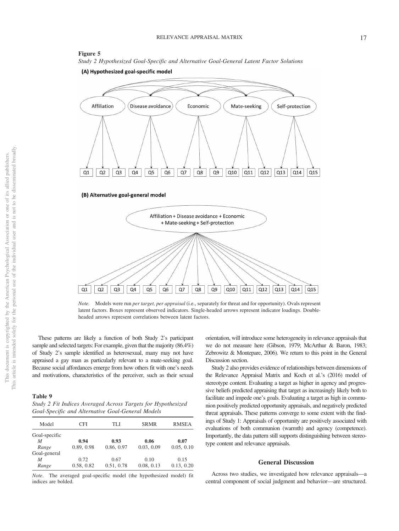#### **Figure 5**





(A) Hypothesized goal-specific model



Q8

Q9

 $Q10$ 

Q11

 $Q12$ 

Q13

Q7

Q<sub>6</sub>

These patterns are likely a function of both Study 2's participant sample and selected targets: For example, given that the majority (86.4%) of Study 2's sample identified as heterosexual, many may not have appraised a gay man as particularly relevant to a mate-seeking goal. Because social affordances emerge from how others fit with one's needs and motivations, characteristics of the perceiver, such as their sexual

 $Q1$ 

 $Q<sub>2</sub>$ 

Q<sub>3</sub>

Q4

Q5

### <span id="page-17-0"></span>**Table 9**

*Study 2 Fit Indices Averaged Across Targets for Hypothesized Goal-Specific and Alternative Goal-General Models*

| Model         | CFI        |            | <b>SRMR</b> | <b>RMSEA</b> |
|---------------|------------|------------|-------------|--------------|
| Goal-specific |            |            |             |              |
| M             | 0.94       | 0.93       | 0.06        | 0.07         |
| Range         | 0.89, 0.98 | 0.86, 0.97 | 0.03, 0.09  | 0.05, 0.10   |
| Goal-general  |            |            |             |              |
| M             | 0.72       | 0.67       | 0.10        | 0.15         |
| Range         | 0.58, 0.82 | 0.51, 0.78 | 0.08, 0.13  | 0.13, 0.20   |

*Note*. The averaged goal-specific model (the hypothesized model) fit indices are bolded.

orientation, will introduce some heterogeneity in relevance appraisals that we do not measure here (Gibson, 1979; McArthur & Baron, 1983; Zebrowitz & Montepare, 2006). We return to this point in the General Discussion section.

Q15

Q14

Study 2 also provides evidence of relationships between dimensions of the Relevance Appraisal Matrix and Koch et al.'s (2016) model of stereotype content. Evaluating a target as higher in agency and progressive beliefs predicted appraising that target as increasingly likely both to facilitate and impede one's goals. Evaluating a target as high in communion positively predicted opportunity appraisals, and negatively predicted threat appraisals. These patterns converge to some extent with the findings of Study 1: Appraisals of opportunity are positively associated with evaluations of both communion (warmth) and agency (competence). Importantly, the data pattern still supports distinguishing between stereotype content and relevance appraisals.

#### **General Discussion**

Across two studies, we investigated how relevance appraisals—a central component of social judgment and behavior—are structured.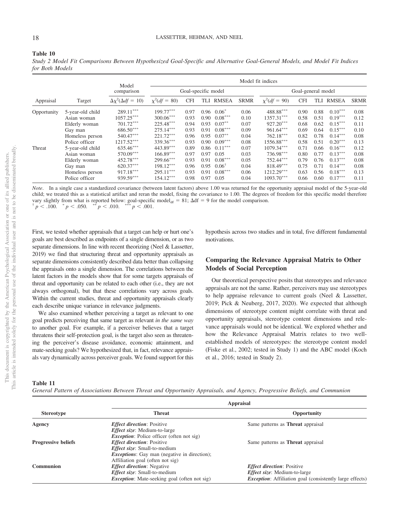# **Table 10**

*Study 2 Model Fit Comparisons Between Hypothesized Goal-Specific and Alternative Goal-General Models, and Model Fit Indices for Both Models*

|                     |                  | Model fit indices               |                |            |                    |                  |             |                   |            |      |              |             |
|---------------------|------------------|---------------------------------|----------------|------------|--------------------|------------------|-------------|-------------------|------------|------|--------------|-------------|
| Model<br>comparison |                  | Goal-specific model             |                |            | Goal-general model |                  |             |                   |            |      |              |             |
| Appraisal           | Target           | $\Delta \chi^2(\Delta df = 10)$ | $x^2(df = 80)$ | <b>CFI</b> | TLI                | <b>RMSEA</b>     | <b>SRMR</b> | $\chi^2(df = 90)$ | <b>CFI</b> | TLI  | <b>RMSEA</b> | <b>SRMR</b> |
| Opportunity         | 5-year-old child | $289.11***$                     | $199.77***$    | 0.97       | 0.96               | $0.06^*$         | 0.06        | 488.88***         | 0.90       | 0.88 | $0.10***$    | 0.08        |
|                     | Asian woman      | $1057.25***$                    | $300.06***$    | 0.93       | 0.90               | $0.08***$        | 0.10        | $1357.31***$      | 0.58       | 0.51 | $0.19***$    | 0.12        |
|                     | Elderly woman    | $701.72***$                     | 225.48***      | 0.94       | 0.93               | $0.07***$        | 0.07        | $927.20***$       | 0.68       | 0.62 | $0.15***$    | 0.11        |
|                     | Gay man          | $686.50***$                     | $275.14***$    | 0.93       | 0.91               | $0.08***$        | 0.09        | 961.64***         | 0.69       | 0.64 | $0.15***$    | 0.10        |
|                     | Homeless person  | 540.47***                       | $221.72***$    | 0.96       | 0.95               | $0.07***$        | 0.04        | $762.18***$       | 0.82       | 0.78 | $0.14***$    | 0.08        |
|                     | Police officer   | 1217.52***                      | 339.36***      | 0.93       | 0.90 <sub>1</sub>  | $0.09***$        | 0.08        | 1556.88***        | 0.58       | 0.51 | $0.20***$    | 0.13        |
| Threat              | 5-year-old child | $635.46***$                     | 443.89***      | 0.89       | 0.86               | $0.11***$        | 0.07        | 1079.34***        | 0.71       | 0.66 | $0.16***$    | 0.12        |
|                     | Asian woman      | 570.09***                       | $166.89***$    | 0.97       | 0.97               | 0.05             | 0.03        | 736.98***         | 0.80       | 0.77 | $0.13***$    | 0.08        |
|                     | Elderly woman    | 452.78***                       | $299.66***$    | 0.93       | 0.91               | $0.08***$        | 0.05        | 752.44***         | 0.79       | 0.76 | $0.13***$    | 0.08        |
|                     | Gay man          | 620.37***                       | $198.12***$    | 0.96       | 0.95               | $0.06^{\dagger}$ | 0.04        | 818.49***         | 0.75       | 0.71 | $0.14***$    | 0.08        |
|                     | Homeless person  | 917.18***                       | $295.11***$    | 0.93       | 0.91               | $0.08***$        | 0.06        | $1212.29***$      | 0.63       | 0.56 | $0.18***$    | 0.13        |
|                     | Police officer   | 939.59***                       | $154.12***$    | 0.98       | 0.97               | 0.05             | 0.04        | $1093.70***$      | 0.66       | 0.60 | $0.17***$    | 0.11        |

*Note*. In a single case a standardized covariance (between latent factors) above 1.00 was returned for the opportunity appraisal model of the 5-year-old child; we treated this as a statistical artifact and reran the model, fixing the covariance to 1.00. The degrees of freedom for this specific model therefore vary slightly from what is reported below: goal-specific model<sub>df</sub> = 81;  $\Delta df = 9$  for the model comparison.<br>
<sup>†</sup> *p* < .100. \* *p* < .050. \*\* *p* < .010. \*\*\* *p* < .001.  $p < .050.$   $\longrightarrow^{*} p < .010.$   $\longrightarrow^{*} p < .001.$ 

First, we tested whether appraisals that a target can help or hurt one's goals are best described as endpoints of a single dimension, or as two separate dimensions. In line with recent theorizing [\(Neel & Lassetter,](#page-23-0) [2019\)](#page-23-0) we find that structuring threat and opportunity appraisals as separate dimensions consistently described data better than collapsing the appraisals onto a single dimension. The correlations between the latent factors in the models show that for some targets appraisals of threat and opportunity can be related to each other (i.e., they are not always orthogonal), but that these correlations vary across goals. Within the current studies, threat and opportunity appraisals clearly each describe unique variance in relevance judgments.

We also examined whether perceiving a target as relevant to one goal predicts perceiving that same target as relevant *in the same way* to another goal. For example, if a perceiver believes that a target threatens their self-protection goal, is the target also seen as threatening the perceiver's disease avoidance, economic attainment, and mate-seeking goals? We hypothesized that, in fact, relevance appraisals vary dynamically across perceiver goals. We found support for this

hypothesis across two studies and in total, five different fundamental motivations.

# **Comparing the Relevance Appraisal Matrix to Other Models of Social Perception**

Our theoretical perspective posits that stereotypes and relevance appraisals are not the same. Rather, perceivers may use stereotypes to help appraise relevance to current goals [\(Neel & Lassetter,](#page-23-0) [2019;](#page-23-0) Pick & Neuberg, 2017, 2020). We expected that although dimensions of stereotype content might correlate with threat and opportunity appraisals, stereotype content dimensions and relevance appraisals would not be identical. We explored whether and how the Relevance Appraisal Matrix relates to two wellestablished models of stereotypes: the stereotype content model (Fiske et al., 2002; tested in Study 1) and the ABC model (Koch et al., 2016; tested in Study 2).

#### **Table 11**

*General Pattern of Associations Between Threat and Opportunity Appraisals, and Agency, Progressive Beliefs, and Communion*

| <b>Appraisal</b>                                                                                      |                                                                                                                                                                |  |  |  |
|-------------------------------------------------------------------------------------------------------|----------------------------------------------------------------------------------------------------------------------------------------------------------------|--|--|--|
| <b>Threat</b>                                                                                         | Opportunity                                                                                                                                                    |  |  |  |
| <b><i>Effect direction: Positive</i></b><br><i>Effect size:</i> Medium-to-large                       | Same patterns as <b>Threat</b> appraisal                                                                                                                       |  |  |  |
| <b>Effect direction: Positive</b><br><i>Effect size:</i> Small-to-medium                              | Same patterns as <b>Threat</b> appraisal                                                                                                                       |  |  |  |
| Affiliation goal (often not sig)<br><i>Effect direction:</i> Negative<br>Effect size: Small-to-medium | <b>Effect direction:</b> Positive<br><i>Effect size:</i> Medium-to-large<br><i>Exception:</i> Affiliation goal (consistently large effects)                    |  |  |  |
|                                                                                                       | <i>Exception:</i> Police officer (often not sig)<br><i>Exceptions:</i> Gay man (negative in direction);<br><i>Exception:</i> Mate-seeking goal (often not sig) |  |  |  |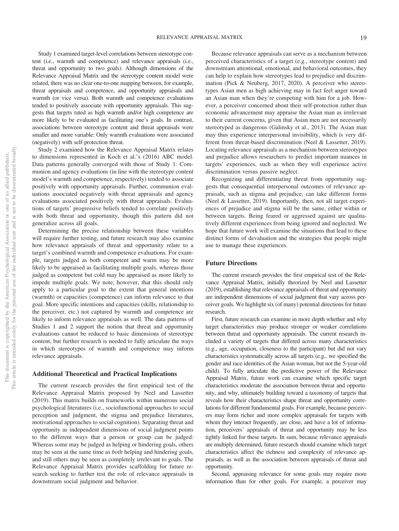Study 1 examined target-level correlations between stereotype content (i.e., warmth and competence) and relevance appraisals (i.e., threat and opportunity to two goals). Although dimensions of the Relevance Appraisal Matrix and the stereotype content model were related, there was no clear one-to-one mapping between, for example, threat appraisals and competence, and opportunity appraisals and warmth (or vice versa). Both warmth and competence evaluations tended to positively associate with opportunity appraisals. This suggests that targets rated as high warmth and/or high competence are more likely to be evaluated as facilitating one's goals. In contrast, associations between stereotype content and threat appraisals were smaller and more variable: Only warmth evaluations were associated (negatively) with self-protection threat.

Study 2 examined how the Relevance Appraisal Matrix relates to dimensions represented in Koch et al.'s (2016) ABC model. Data patterns generally converged with those of Study 1: Communion and agency evaluations (in line with the stereotype content model's warmth and competence, respectively) tended to associate positively with opportunity appraisals. Further, communion evaluations associated negatively with threat appraisals and agency evaluations associated positively with threat appraisals. Evaluations of targets' progressive beliefs tended to correlate positively with both threat and opportunity, though this pattern did not generalize across all goals.

Determining the precise relationship between these variables will require further testing, and future research may also examine how relevance appraisals of threat and opportunity relate to a target's combined warmth and competence evaluations. For example, targets judged as both competent and warm may be more likely to be appraised as facilitating multiple goals, whereas those judged as competent but cold may be appraised as more likely to impede multiple goals. We note, however, that this should only apply to a particular goal to the extent that general intentions (warmth) or capacities (competence) can inform relevance to that goal. More specific intentions and capacities (skills, relationship to the perceiver, etc.) not captured by warmth and competence are likely to inform relevance appraisals as well. The data patterns of Studies 1 and 2 support the notion that threat and opportunity evaluations cannot be reduced to basic dimensions of stereotype content, but further research is needed to fully articulate the ways in which stereotypes of warmth and competence may inform relevance appraisals.

## **Additional Theoretical and Practical Implications**

The current research provides the first empirical test of the Relevance Appraisal Matrix proposed by [Neel and Lassetter](#page-23-0) [\(2019\).](#page-23-0) This matrix builds on frameworks within numerous social psychological literatures (i.e., sociofunctional approaches to social perception and judgment, the stigma and prejudice literatures, motivational approaches to social cognition). Separating threat and opportunity as independent dimensions of social judgment points to the different ways that a person or group can be judged: Whereas some may be judged as helping or hindering goals, others may be seen at the same time as *both* helping and hindering goals, and still others may be seen as completely irrelevant to goals. The Relevance Appraisal Matrix provides scaffolding for future research seeking to further test the role of relevance appraisals in downstream social judgment and behavior.

Because relevance appraisals can serve as a mechanism between perceived characteristics of a target (e.g., stereotype content) and downstream attentional, emotional, and behavioral outcomes, they can help to explain how stereotypes lead to prejudice and discrimination (Pick & Neuberg, 2017, 2020). A perceiver who stereotypes Asian men as high achieving may in fact feel anger toward an Asian man when they're competing with him for a job. However, a perceiver concerned about their self-protection rather than economic advancement may appraise the Asian man as irrelevant to their current concerns, given that Asian men are not necessarily stereotyped as dangerous (Galinsky et al., 2013). The Asian man may thus experience interpersonal invisibility, which is very different from threat-based discrimination [\(Neel & Lassetter, 2019\)](#page-23-0).

Locating relevance appraisals as a mechanism between stereotypes and prejudice allows researchers to predict important nuances in targets' experiences, such as when they will experience active discrimination versus passive neglect.

Recognizing and differentiating threat from opportunity suggests that consequential interpersonal outcomes of relevance appraisals, such as stigma and prejudice, can take different forms [\(Neel & Lassetter, 2019\)](#page-23-0). Importantly, then, not all target experiences of prejudice and stigma will be the same, either within or between targets. Being feared or aggressed against are qualitatively different experiences from being ignored and neglected. We hope that future work will examine the situations that lead to these distinct forms of devaluation and the strategies that people might use to manage these experiences.

#### **Future Directions**

The current research provides the first empirical test of the Relevance Appraisal Matrix, initially theorized by [Neel and Lassetter](#page-23-0) [\(2019\),](#page-23-0) establishing that relevance appraisals of threat and opportunity are independent dimensions of social judgment that vary across perceiver goals. We highlight six (of many) potential directions for future research.

First, future research can examine in more depth whether and why target characteristics may produce stronger or weaker correlations between threat and opportunity appraisals. The current research included a variety of targets that differed across many characteristics (e.g., age, occupation, closeness to the participant) but did not vary characteristics systematically across all targets (e.g., we specified the gender and race identities of the Asian woman, but not the 5-year-old child). To fully articulate the predictive power of the Relevance Appraisal Matrix, future work can examine which specific target characteristics moderate the association between threat and opportunity, and why, ultimately building toward a taxonomy of targets that reveals how their characteristics shape threat and opportunity correlations for different fundamental goals. For example, because perceivers may form richer and more complex appraisals for targets with whom they interact frequently, are close, and have a lot of information, perceivers' appraisals of threat and opportunity may be less tightly linked for these targets. In sum, because relevance appraisals are multiply determined, future research should examine which target characteristics affect the richness and complexity of relevance appraisals, as well as the association between appraisals of threat and opportunity.

Second, appraising relevance for some goals may require more information than for other goals. For example, a perceiver may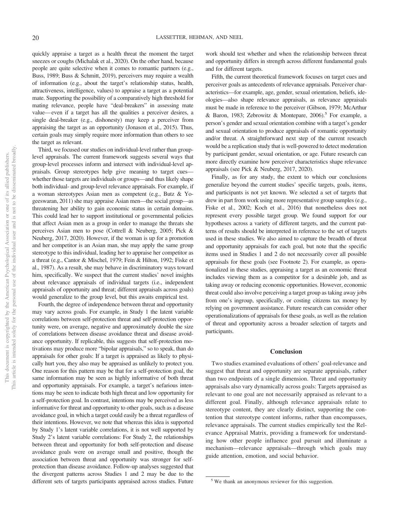quickly appraise a target as a health threat the moment the target sneezes or coughs (Michalak et al., 2020). On the other hand, because people are quite selective when it comes to romantic partners (e.g., Buss, 1989; Buss & Schmitt, 2019), perceivers may require a wealth of information (e.g., about the target's relationship status, health, attractiveness, intelligence, values) to appraise a target as a potential mate. Supporting the possibility of a comparatively high threshold for mating relevance, people have "deal-breakers" in assessing mate value—even if a target has all the qualities a perceiver desires, a single deal-breaker (e.g., dishonesty) may keep a perceiver from appraising the target as an opportunity (Jonason et al., 2015). Thus, certain goals may simply require more information than others to see the target as relevant.

Third, we focused our studies on individual-level rather than grouplevel appraisals. The current framework suggests several ways that group-level processes inform and intersect with individual-level appraisals. Group stereotypes help give meaning to target cues whether those targets are individuals or groups—and thus likely shape both individual- and group-level relevance appraisals. For example, if a woman stereotypes Asian men as competent (e.g., Butz & Yogeeswaran, 2011) she may appraise Asian men—the social group—as threatening her ability to gain economic status in certain domains. This could lead her to support institutional or governmental policies that affect Asian men as a group in order to manage the threats she perceives Asian men to pose (Cottrell & Neuberg, 2005; Pick & Neuberg, 2017, 2020). However, if the woman is up for a promotion and her competitor is an Asian man, she may apply the same group stereotype to this individual, leading her to appraise her competitor as a threat (e.g., Cantor & Mischel, 1979; Fein & Hilton, 1992; Fiske et al., 1987). As a result, she may behave in discriminatory ways toward him, specifically. We suspect that the current studies' novel insights about relevance appraisals of individual targets (i.e., independent appraisals of opportunity and threat; different appraisals across goals) would generalize to the group level, but this awaits empirical test.

Fourth, the degree of independence between threat and opportunity may vary across goals. For example, in Study 1 the latent variable correlations between self-protection threat and self-protection opportunity were, on average, negative and approximately double the size of correlations between disease avoidance threat and disease avoidance opportunity. If replicable, this suggests that self-protection motivations may produce more "bipolar appraisals," so to speak, than do appraisals for other goals: If a target is appraised as likely to physically hurt you, they also may be appraised as unlikely to protect you. One reason for this pattern may be that for a self-protection goal, the same information may be seen as highly informative of both threat and opportunity appraisals. For example, a target's nefarious intentions may be seen to indicate both high threat and low opportunity for a self-protection goal. In contrast, intentions may be perceived as less informative for threat and opportunity to other goals, such as a disease avoidance goal, in which a target could easily be a threat regardless of their intentions. However, we note that whereas this idea is supported by Study 1's latent variable correlations, it is not well supported by Study 2's latent variable correlations: For Study 2, the relationships between threat and opportunity for both self-protection and disease avoidance goals were on average small and positive, though the association between threat and opportunity was stronger for selfprotection than disease avoidance. Follow-up analyses suggested that the divergent patterns across Studies 1 and 2 may be due to the different sets of targets participants appraised across studies. Future work should test whether and when the relationship between threat and opportunity differs in strength across different fundamental goals and for different targets.

Fifth, the current theoretical framework focuses on target cues and perceiver goals as antecedents of relevance appraisals. Perceiver characteristics—for example, age, gender, sexual orientation, beliefs, ideologies—also shape relevance appraisals, as relevance appraisals must be made in reference to the perceiver (Gibson, 1979; McArthur & Baron, 1983; Zebrowitz & Montepare,  $2006$ .<sup>5</sup> For example, a person's gender and sexual orientation combine with a target's gender and sexual orientation to produce appraisals of romantic opportunity and/or threat. A straightforward next step of the current research would be a replication study that is well-powered to detect moderation by participant gender, sexual orientation, or age. Future research can more directly examine how perceiver characteristics shape relevance appraisals (see Pick & Neuberg, 2017, 2020).

Finally, as for any study, the extent to which our conclusions generalize beyond the current studies' specific targets, goals, items, and participants is not yet known. We selected a set of targets that drew in part from work using more representative group samples (e.g., Fiske et al., 2002; Koch et al., 2016) that nonetheless does not represent every possible target group. We found support for our hypotheses across a variety of different targets, and the current patterns of results should be interpreted in reference to the set of targets used in these studies. We also aimed to capture the breadth of threat and opportunity appraisals for each goal, but note that the specific items used in Studies 1 and 2 do not necessarily cover all possible appraisals for these goals (see Footnote 2). For example, as operationalized in these studies, appraising a target as an economic threat includes viewing them as a competitor for a desirable job, and as taking away or reducing economic opportunities. However, economic threat could also involve perceiving a target group as taking away jobs from one's ingroup, specifically, or costing citizens tax money by relying on government assistance. Future research can consider other operationalizations of appraisals for these goals, as well as the relation of threat and opportunity across a broader selection of targets and participants.

#### **Conclusion**

Two studies examined evaluations of others' goal-relevance and suggest that threat and opportunity are separate appraisals, rather than two endpoints of a single dimension. Threat and opportunity appraisals also vary dynamically across goals: Targets appraised as relevant to one goal are not necessarily appraised as relevant to a different goal. Finally, although relevance appraisals relate to stereotype content, they are clearly distinct, supporting the contention that stereotype content informs, rather than encompasses, relevance appraisals. The current studies empirically test the Relevance Appraisal Matrix, providing a framework for understanding how other people influence goal pursuit and illuminate a mechanism—relevance appraisals—through which goals may guide attention, emotion, and social behavior.

<sup>5</sup> We thank an anonymous reviewer for this suggestion.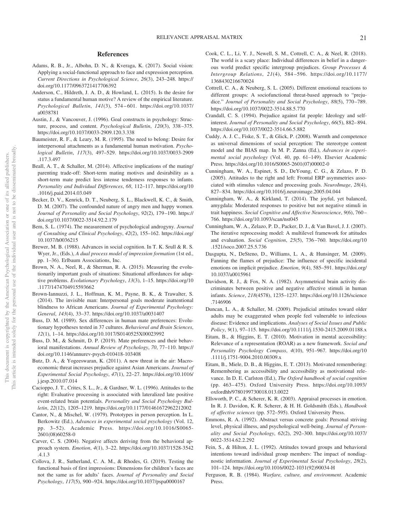# **References**

- Adams, R. B., Jr., Albohn, D. N., & Kveraga, K. (2017). Social vision: Applying a social-functional approach to face and expression perception. *Current Directions in Psychological Science*, *26*(3), 243–248. [https://](https://doi.org/10.1177/0963721417706392) [doi.org/10.1177/0963721417706392](https://doi.org/10.1177/0963721417706392)
- Anderson, C., Hildreth, J. A. D., & Howland, L. (2015). Is the desire for status a fundamental human motive? A review of the empirical literature. *Psychological Bulletin*, *141*(3), 574 – 601. [https://doi.org/10.1037/](https://doi.org/10.1037/a0038781) [a0038781](https://doi.org/10.1037/a0038781)
- Austin, J., & Vancouver, J. (1996). Goal constructs in psychology: Structure, process, and content. *Psychological Bulletin*, *120*(3), 338 –375. <https://doi.org/10.1037/0033-2909.120.3.338>
- Baumeister, R. F., & Leary, M. R. (1995). The need to belong: Desire for interpersonal attachments as a fundamental human motivation. *Psychological Bulletin*, *117*(3), 497–529. [https://doi.org/10.1037/0033-2909](https://doi.org/10.1037/0033-2909.117.3.497) [.117.3.497](https://doi.org/10.1037/0033-2909.117.3.497)
- Beall, A. T., & Schaller, M. (2014). Affective implications of the mating/ parenting trade-off: Short-term mating motives and desirability as a short-term mate predict less intense tenderness responses to infants. *Personality and Individual Differences*, *68*, 112–117. [https://doi.org/10](https://doi.org/10.1016/j.paid.2014.03.049) [.1016/j.paid.2014.03.049](https://doi.org/10.1016/j.paid.2014.03.049)
- Becker, D. V., Kenrick, D. T., Neuberg, S. L., Blackwell, K. C., & Smith, D. M. (2007). The confounded nature of angry men and happy women. *Journal of Personality and Social Psychology*, *92*(2), 179 –190. [https://](https://doi.org/10.1037/0022-3514.92.2.179) [doi.org/10.1037/0022-3514.92.2.179](https://doi.org/10.1037/0022-3514.92.2.179)
- Bem, S. L. (1974). The measurement of psychological androgyny. *Journal of Consulting and Clinical Psychology*, *42*(2), 155–162. [https://doi.org/](https://doi.org/10.1037/h0036215) [10.1037/h0036215](https://doi.org/10.1037/h0036215)
- <span id="page-21-0"></span>Brewer, M. B. (1988). Advances in social cognition. In T. K. Srull & R. S. Wyer, Jr., (Eds.), *A dual process model of impression formation* (1st ed., pp. 1–36). Erlbaum Associations, Inc.
- <span id="page-21-1"></span>Brown, N. A., Neel, R., & Sherman, R. A. (2015). Measuring the evolutionarily important goals of situations: Situational affordances for adaptive problems. *Evolutionary Psychology*, *13*(3), 1–15. [https://doi.org/10](https://doi.org/10.1177/1474704915593662) [.1177/1474704915593662](https://doi.org/10.1177/1474704915593662)
- Brown-Iannuzzi, J. L., Hoffman, K. M., Payne, B. K., & Trawalter, S. (2014). The invisible man: Interpersonal goals moderate inattentional blindness to African Americans. *Journal of Experimental Psychology: General*, *143*(4), 33–37.<https://doi.org/10.1037/a0031407>
- Buss, D. M. (1989). Sex differences in human mate preferences: Evolutionary hypotheses tested in 37 cultures. *Behavioral and Brain Sciences*, *12*(1), 1–14.<https://doi.org/10.1017/S0140525X00023992>
- Buss, D. M., & Schmitt, D. P. (2019). Mate preferences and their behavioral manifestations. *Annual Review of Psychology*, *70*, 77–110. [https://](https://doi.org/10.1146/annurev-psych-010418-103408) [doi.org/10.1146/annurev-psych-010418-103408](https://doi.org/10.1146/annurev-psych-010418-103408)
- Butz, D. A., & Yogeeswaran, K. (2011). A new threat in the air: Macroeconomic threat increases prejudice against Asian Americans. *Journal of Experimental Social Psychology*, *47*(1), 22–27. [https://doi.org/10.1016/](https://doi.org/10.1016/j.jesp.2010.07.014) [j.jesp.2010.07.014](https://doi.org/10.1016/j.jesp.2010.07.014)
- Cacioppo, J. T., Crites, S. L., Jr., & Gardner, W. L. (1996). Attitudes to the right: Evaluative processing is associated with lateralized late positive event-related brain potentials. *Personality and Social Psychology Bulletin*, *22*(12), 1205–1219.<https://doi.org/10.1177/01461672962212002>
- Cantor, N., & Mischel, W. (1979). Prototypes in person perception. In L. Berkowitz (Ed.), *Advances in experimental social psychology* (Vol. 12, pp. 3–52). Academic Press. [https://doi.org/10.1016/S0065-](https://doi.org/10.1016/S0065-2601%2808%2960258-0) [2601\(08\)60258-0](https://doi.org/10.1016/S0065-2601%2808%2960258-0)
- Carver, C. S. (2004). Negative affects deriving from the behavioral approach system. *Emotion*, *4*(1), 3–22. [https://doi.org/10.1037/1528-3542](https://doi.org/10.1037/1528-3542.4.1.3) [.4.1.3](https://doi.org/10.1037/1528-3542.4.1.3)
- Collova, J. R., Sutherland, C. A. M., & Rhodes, G. (2019). Testing the functional basis of first impressions: Dimensions for children's faces are not the same as for adults' faces. *Journal of Personality and Social Psychology*, *117*(5), 900 –924.<https://doi.org/10.1037/pspa0000167>
- Cook, C. L., Li, Y. J., Newell, S. M., Cottrell, C. A., & Neel, R. (2018). The world is a scary place: Individual differences in belief in a dangerous world predict specific intergroup prejudices. *Group Processes & Intergroup Relations*, *21*(4), 584 –596. [https://doi.org/10.1177/](https://doi.org/10.1177/1368430216670024) [1368430216670024](https://doi.org/10.1177/1368430216670024)
- Cottrell, C. A., & Neuberg, S. L. (2005). Different emotional reactions to different groups: A sociofunctional threat-based approach to "prejudice." *Journal of Personality and Social Psychology*, *88*(5), 770 –789. <https://doi.org/10.1037/0022-3514.88.5.770>
- Crandall, C. S. (1994). Prejudice against fat people: Ideology and selfinterest. *Journal of Personality and Social Psychology*, *66*(5), 882– 894. <https://doi.org/10.1037/0022-3514.66.5.882>
- Cuddy, A. J. C., Fiske, S. T., & Glick, P. (2008). Warmth and competence as universal dimensions of social perception: The stereotype content model and the BIAS map. In M. P. Zanna (Ed.), *Advances in experimental social psychology* (Vol. 40, pp. 61–149). Elsevier Academic Press. [https://doi.org/10.1016/S0065-2601\(07\)00002-0](https://doi.org/10.1016/S0065-2601%2807%2900002-0)
- Cunningham, W. A., Espinet, S. D., DeYoung, C. G., & Zelazo, P. D. (2005). Attitudes to the right and left: Frontal ERP asymmetries associated with stimulus valence and processing goals. *NeuroImage*, *28*(4), 827– 834.<https://doi.org/10.1016/j.neuroimage.2005.04.044>
- Cunningham, W. A., & Kirkland, T. (2014). The joyful, yet balanced, amygdala: Moderated responses to positive but not negative stimuli in trait happiness. *Social Cognitive and Affective Neuroscience*, *9*(6), 760 – 766.<https://doi.org/10.1093/scan/nst045>
- Cunningham, W. A., Zelazo, P. D., Packer, D. J., & Van Bavel, J. J. (2007). The iterative reprocessing model: A multilevel framework for attitudes and evaluation. *Social Cognition*, *25*(5), 736 –760. [https://doi.org/10](https://doi.org/10.1521/soco.2007.25.5.736) [.1521/soco.2007.25.5.736](https://doi.org/10.1521/soco.2007.25.5.736)
- Dasgupta, N., DeSteno, D., Williams, L. A., & Hunsinger, M. (2009). Fanning the flames of prejudice: The influence of specific incidental emotions on implicit prejudice. *Emotion*, *9*(4), 585–591. [https://doi.org/](https://doi.org/10.1037/a0015961) [10.1037/a0015961](https://doi.org/10.1037/a0015961)
- Davidson, R. J., & Fox, N. A. (1982). Asymmetrical brain activity discriminates between positive and negative affective stimuli in human infants. *Science*, *218*(4578), 1235–1237. [https://doi.org/10.1126/science](https://doi.org/10.1126/science.7146906) [.7146906](https://doi.org/10.1126/science.7146906)
- Duncan, L. A., & Schaller, M. (2009). Prejudicial attitudes toward older adults may be exaggerated when people feel vulnerable to infectious disease: Evidence and implications. *Analyses of Social Issues and Public Policy*, *9*(1), 97–115.<https://doi.org/10.1111/j.1530-2415.2009.01188.x>
- Eitam, B., & Higgins, E. T. (2010). Motivation in mental accessibility: Relevance of a representation (ROAR) as a new framework. *Social and Personality Psychology Compass*, *4*(10), 951–967. [https://doi.org/10](https://doi.org/10.1111/j.1751-9004.2010.00309.x) [.1111/j.1751-9004.2010.00309.x](https://doi.org/10.1111/j.1751-9004.2010.00309.x)
- Eitam, B., Miele, D. B., & Higgins, E. T. (2013). Motivated remembering: Remembering as accessibility and accessibility as motivational relevance. In D. E. Carlston (Ed.), *The Oxford handbook of social cognition* (pp. 463– 475). Oxford University Press. [https://doi.org/10.1093/](https://doi.org/10.1093/oxfordhb/9780199730018.013.0022) [oxfordhb/9780199730018.013.0022](https://doi.org/10.1093/oxfordhb/9780199730018.013.0022)
- Ellsworth, P. C., & Scherer, K. R. (2003). Appraisal processes in emotion. In R. J. Davidon, K. R. Scherer, & H. H. Goldsmith (Eds.), *Handbook of affective sciences* (pp. 572–595). Oxford University Press.
- Emmons, R. A. (1992). Abstract versus concrete goals: Personal striving level, physical illness, and psychological well-being. *Journal of Personality and Social Psychology*, *62*(2), 292–300. [https://doi.org/10.1037/](https://doi.org/10.1037/0022-3514.62.2.292) [0022-3514.62.2.292](https://doi.org/10.1037/0022-3514.62.2.292)
- Fein, S., & Hilton, J. L. (1992). Attitudes toward groups and behavioral intentions toward individual group members: The impact of nondiagnostic information. *Journal of Experimental Social Psychology*, *28*(2), 101–124. [https://doi.org/10.1016/0022-1031\(92\)90034-H](https://doi.org/10.1016/0022-1031%2892%2990034-H)
- Ferguson, R. B. (1984). *Warfare, culture, and environment*. Academic Press.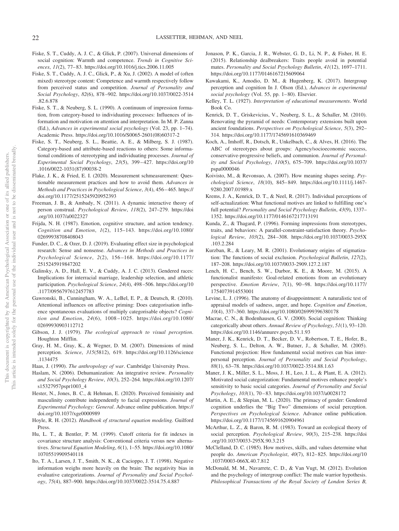- Fiske, S. T., Cuddy, A. J. C., & Glick, P. (2007). Universal dimensions of social cognition: Warmth and competence. *Trends in Cognitive Sciences*, *11*(2), 77– 83.<https://doi.org/10.1016/j.tics.2006.11.005>
- Fiske, S. T., Cuddy, A. J. C., Glick, P., & Xu, J. (2002). A model of (often mixed) stereotype content: Competence and warmth respectively follow from perceived status and competition. *Journal of Personality and Social Psychology*, *82*(6), 878 –902. [https://doi.org/10.1037/0022-3514](https://doi.org/10.1037/0022-3514.82.6.878) [.82.6.878](https://doi.org/10.1037/0022-3514.82.6.878)
- Fiske, S. T., & Neuberg, S. L. (1990). A continuum of impression formation, from category-based to individuating processes: Influences of information and motivation on attention and interpretation. In M. P. Zanna (Ed.), *Advances in experimental social psychology* (Vol. 23, pp. 1–74). Academic Press. [https://doi.org/10.1016/S0065-2601\(08\)60317-2](https://doi.org/10.1016/S0065-2601%2808%2960317-2)
- Fiske, S. T., Neuberg, S. L., Beattie, A. E., & Milberg, S. J. (1987). Category-based and attribute-based reactions to others: Some informational conditions of stereotyping and individuating processes. *Journal of Experimental Social Psychology*, *23*(5), 399 – 427. [https://doi.org/10](https://doi.org/10.1016/0022-1031%2887%2990038-2) [.1016/0022-1031\(87\)90038-2](https://doi.org/10.1016/0022-1031%2887%2990038-2)
- Flake, J. K., & Fried, E. I. (2020). Measurement schmeasurement: Questionable measurement practices and how to avoid them. *Advances in Methods and Practices in Psychological Science*, *3*(4), 456 – 465. [https://](https://doi.org/10.1177/2515245920952393) [doi.org/10.1177/2515245920952393](https://doi.org/10.1177/2515245920952393)
- Freeman, J. B., & Ambady, N. (2011). A dynamic interactive theory of person construal. *Psychological Review*, *118*(2), 247–279. [https://doi](https://doi.org/10.1037/a0022327) [.org/10.1037/a0022327](https://doi.org/10.1037/a0022327)
- Frijda, N. H. (1987). Emotion, cognitive structure, and action tendency. *Cognition and Emotion*, *1*(2), 115–143. [https://doi.org/10.1080/](https://doi.org/10.1080/02699938708408043) [02699938708408043](https://doi.org/10.1080/02699938708408043)
- Funder, D. C., & Ozer, D. J. (2019). Evaluating effect size in psychological research: Sense and nonsense. *Advances in Methods and Practices in Psychological Science*, *2*(2), 156 –168. [https://doi.org/10.1177/](https://doi.org/10.1177/2515245919847202) [2515245919847202](https://doi.org/10.1177/2515245919847202)
- Galinsky, A. D., Hall, E. V., & Cuddy, A. J. C. (2013). Gendered races: Implications for interracial marriage, leadership selection, and athletic participation. *Psychological Science*, *24*(4), 498 –506. [https://doi.org/10](https://doi.org/10.1177/0956797612457783) [.1177/0956797612457783](https://doi.org/10.1177/0956797612457783)
- Gawronski, B., Cunningham, W. A., LeBel, E. P., & Deutsch, R. (2010). Attentional influences on affective priming: Does categorisation influence spontaneous evaluations of multiply categorisable objects? *Cognition and Emotion*, *24*(6), 1008 –1025. [https://doi.org/10.1080/](https://doi.org/10.1080/02699930903112712) [02699930903112712](https://doi.org/10.1080/02699930903112712)
- Gibson, J. J. (1979). *The ecological approach to visual perception*. Houghton Mifflin.
- Gray, H. M., Gray, K., & Wegner, D. M. (2007). Dimensions of mind perception. *Science*, *315*(5812), 619. [https://doi.org/10.1126/science](https://doi.org/10.1126/science.1134475) [.1134475](https://doi.org/10.1126/science.1134475)
- Haas, J. (1990). *The anthropology of war*. Cambridge University Press.
- Haslam, N. (2006). Dehumanization: An integrative review. *Personality and Social Psychology Review*, *10*(3), 252–264. [https://doi.org/10.1207/](https://doi.org/10.1207/s15327957pspr1003_4) [s15327957pspr1003\\_4](https://doi.org/10.1207/s15327957pspr1003_4)
- Hester, N., Jones, B. C., & Hehman, E. (2020). Perceived femininity and masculinity contribute independently to facial expressions. *Journal of Experimental Psychology: General*. Advance online publication. [https://](https://doi.org/10.1037/xge0000989) [doi.org/10.1037/xge0000989](https://doi.org/10.1037/xge0000989)
- Hoyle, R. H. (2012). *Handbook of structural equation modeling*. Guilford Press.
- Hu, L. T., & Bentler, P. M. (1999). Cutoff criteria for fit indexes in covariance structure analysis: Conventional criteria versus new alternatives. *Structural Equation Modeling*, *6*(1), 1–55. [https://doi.org/10.1080/](https://doi.org/10.1080/10705519909540118) [10705519909540118](https://doi.org/10.1080/10705519909540118)
- Ito, T. A., Larsen, J. T., Smith, N. K., & Cacioppo, J. T. (1998). Negative information weighs more heavily on the brain: The negativity bias in evaluative categorizations. *Journal of Personality and Social Psychology*, *75*(4), 887–900.<https://doi.org/10.1037/0022-3514.75.4.887>
- Jonason, P. K., Garcia, J. R., Webster, G. D., Li, N. P., & Fisher, H. E. (2015). Relationship dealbreakers: Traits people avoid in potential mates. *Personality and Social Psychology Bulletin*, *41*(12), 1697–1711. <https://doi.org/10.1177/0146167215609064>
- Kawakami, K., Amodio, D. M., & Hugenberg, K. (2017). Intergroup perception and cognition In J. Olson (Ed.), *Advances in experimental social psychology* (Vol. 55, pp. 1– 80). Elsevier.
- Kelley, T. L. (1927). *Interpretation of educational measurements*. World Book Co.
- Kenrick, D. T., Griskevicius, V., Neuberg, S. L., & Schaller, M. (2010). Renovating the pyramid of needs: Contemporary extensions built upon ancient foundations. *Perspectives on Psychological Science*, *5*(3), 292– 314.<https://doi.org/10.1177/1745691610369469>
- Koch, A., Imhoff, R., Dotsch, R., Unkelbach, C., & Alves, H. (2016). The ABC of stereotypes about groups: Agency/socioeconomic success, conservative-progressive beliefs, and communion. *Journal of Personality and Social Psychology*, *110*(5), 675–709. [https://doi.org/10.1037/](https://doi.org/10.1037/pspa0000046) [pspa0000046](https://doi.org/10.1037/pspa0000046)
- Koivisto, M., & Revonsuo, A. (2007). How meaning shapes seeing. *Psychological Science*, *18*(10), 845– 849. [https://doi.org/10.1111/j.1467-](https://doi.org/10.1111/j.1467-9280.2007.01989.x) [9280.2007.01989.x](https://doi.org/10.1111/j.1467-9280.2007.01989.x)
- Krems, J. A., Kenrick, D. T., & Neel, R. (2017). Individual perceptions of self-actualization: What functional motives are linked to fulfilling one's full potential? *Personality and Social Psychology Bulletin*, *43*(9), 1337– 1352.<https://doi.org/10.1177/0146167217713191>
- Kunda, Z., & Thagard, P. (1996). Forming impressions from stereotypes, traits, and behaviors: A parallel-constraint-satisfaction theory. *Psychological Review*, *103*(2), 284 –308. [https://doi.org/10.1037/0033-295X](https://doi.org/10.1037/0033-295X.103.2.284) [.103.2.284](https://doi.org/10.1037/0033-295X.103.2.284)
- Kurzban, R., & Leary, M. R. (2001). Evolutionary origins of stigmatization: The functions of social exclusion. *Psychological Bulletin*, *127*(2), 187–208.<https://doi.org/10.1037/0033-2909.127.2.187>
- Lench, H. C., Bench, S. W., Darbor, K. E., & Moore, M. (2015). A functionalist manifesto: Goal-related emotions from an evolutionary perspective. *Emotion Review*, *7*(1), 90 –98. [https://doi.org/10.1177/](https://doi.org/10.1177/1754073914553001) [1754073914553001](https://doi.org/10.1177/1754073914553001)
- Levine, L. J. (1996). The anatomy of disappointment: A naturalistic test of appraisal models of sadness, anger, and hope. *Cognition and Emotion*, *10*(4), 337–360.<https://doi.org/10.1080/026999396380178>
- Macrae, C. N., & Bodenhausen, G. V. (2000). Social cognition: Thinking categorically about others. *Annual Review of Psychology*, *51*(1), 93–120. <https://doi.org/10.1146/annurev.psych.51.1.93>
- Maner, J. K., Kenrick, D. T., Becker, D. V., Robertson, T. E., Hofer, B., Neuberg, S. L., Delton, A. W., Butner, J., & Schaller, M. (2005). Functional projection: How fundamental social motives can bias interpersonal perception. *Journal of Personality and Social Psychology*, *88*(1), 63–78.<https://doi.org/10.1037/0022-3514.88.1.63>
- Maner, J. K., Miller, S. L., Moss, J. H., Leo, J. L., & Plant, E. A. (2012). Motivated social categorization: Fundamental motives enhance people's sensitivity to basic social categories. *Journal of Personality and Social Psychology*, *103*(1), 70 – 83.<https://doi.org/10.1037/a0028172>
- Martin, A. E., & Slepian, M. L. (2020). The primacy of gender: Gendered cognition underlies the "Big Two" dimensions of social perception. *Perspectives on Psychological Science*. Advance online publication. <https://doi.org/10.1177/1745691620904961>
- McArthur, L. Z., & Baron, R. M. (1983). Toward an ecological theory of social perception. *Psychological Review*, *90*(3), 215–238. [https://doi](https://doi.org/10.1037/0033-295X.90.3.215) [.org/10.1037/0033-295X.90.3.215](https://doi.org/10.1037/0033-295X.90.3.215)
- McClelland, D. C. (1985). How motives, skills, and values determine what people do. *American Psychologist*, *40*(7), 812– 825. [https://doi.org/10](https://doi.org/10.1037/0003-066X.40.7.812) [.1037/0003-066X.40.7.812](https://doi.org/10.1037/0003-066X.40.7.812)
- McDonald, M. M., Navarrete, C. D., & Van Vugt, M. (2012). Evolution and the psychology of intergroup conflict: The male warrior hypothesis. *Philosophical Transactions of the Royal Society of London Series B,*